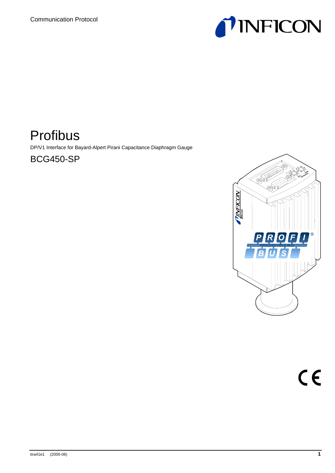

# Profibus

DP/V1 Interface for Bayard-Alpert Pirani Capacitance Diaphragm Gauge

BCG450-SP

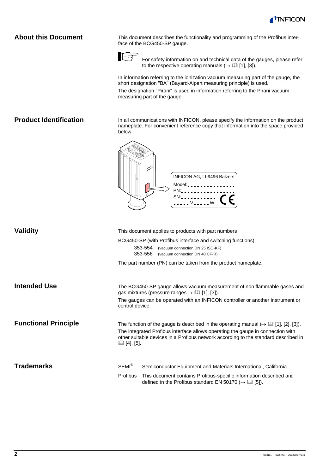# **About this Document**

This document describes the functionality and programming of the Profibus interface of the BCG450-SP gauge.



For safety information on and technical data of the gauges, please refer to the respective operating manuals  $(\rightarrow \Box$  [1], [3]).

In information referring to the ionization vacuum measuring part of the gauge, the short designation "BA" (Bayard-Alpert measuring principle) is used.

The designation "Pirani" is used in information referring to the Pirani vacuum measuring part of the gauge.

### **Product Identification**

In all communications with INFICON, please specify the information on the product nameplate. For convenient reference copy that information into the space provided below.



| <b>Validity</b>             |                    | This document applies to products with part numbers                                                                                                                    |
|-----------------------------|--------------------|------------------------------------------------------------------------------------------------------------------------------------------------------------------------|
|                             |                    | BCG450-SP (with Profibus interface and switching functions)                                                                                                            |
|                             | 353-554<br>353-556 | (vacuum connection DN 25 ISO-KF)<br>(vacuum connection DN 40 CF-R)                                                                                                     |
|                             |                    | The part number (PN) can be taken from the product nameplate.                                                                                                          |
| <b>Intended Use</b>         |                    |                                                                                                                                                                        |
|                             |                    | The BCG450-SP gauge allows vacuum measurement of non flammable gases and<br>gas mixtures (pressure ranges $\rightarrow$ [1], [3]).                                     |
|                             | control device.    | The gauges can be operated with an INFICON controller or another instrument or                                                                                         |
| <b>Functional Principle</b> |                    | The function of the gauge is described in the operating manual $(\rightarrow \Box \Box \, 1]$ , [2], [3]).                                                             |
|                             | $\Box$ [4], [5].   | The integrated Profibus interface allows operating the gauge in connection with<br>other suitable devices in a Profibus network according to the standard described in |
|                             |                    |                                                                                                                                                                        |
| <b>Trademarks</b>           | SEMI <sup>®</sup>  | Semiconductor Equipment and Materials International, California                                                                                                        |
|                             | Profibus           | This document contains Profibus-specific information described and<br>defined in the Profibus standard EN 50170 ( $\rightarrow$ [1] [5]).                              |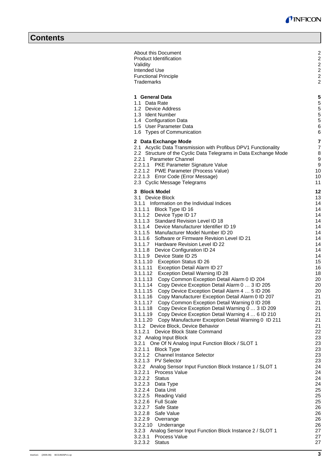| About this Document<br><b>Product Identification</b><br>Validity<br>Intended Use<br><b>Functional Principle</b><br>Trademarks                                                                                                                                                                                                                                                                                                                                                                                                                                                                                                                                                                                                                                                                                                                                                                                                                                                                                                                                                                                                                                                          | $\overline{c}$<br>$\overline{c}$<br>$\overline{c}$<br>$\overline{2}$<br>$\overline{2}$<br>$\overline{2}$                                                 |
|----------------------------------------------------------------------------------------------------------------------------------------------------------------------------------------------------------------------------------------------------------------------------------------------------------------------------------------------------------------------------------------------------------------------------------------------------------------------------------------------------------------------------------------------------------------------------------------------------------------------------------------------------------------------------------------------------------------------------------------------------------------------------------------------------------------------------------------------------------------------------------------------------------------------------------------------------------------------------------------------------------------------------------------------------------------------------------------------------------------------------------------------------------------------------------------|----------------------------------------------------------------------------------------------------------------------------------------------------------|
| 1 General Data<br>1.1 Data Rate<br>1.2 Device Address<br>1.3 Ident Number<br>1.4 Configuration Data<br>1.5 User Parameter Data<br>1.6 Types of Communication                                                                                                                                                                                                                                                                                                                                                                                                                                                                                                                                                                                                                                                                                                                                                                                                                                                                                                                                                                                                                           | 5<br>5<br>5<br>5<br>5<br>6<br>6                                                                                                                          |
| 2 Data Exchange Mode<br>2.1 Acyclic Data Transmission with Profibus DPV1 Functionality<br>2.2 Structure of the Cyclic Data Telegrams in Data Exchange Mode<br>2.2.1 Parameter Channel<br>2.2.1.1 PKE Parameter Signature Value<br>2.2.1.2 PWE Parameter (Process Value)<br>2.2.1.3 Error Code (Error Message)<br>2.3 Cyclic Message Telegrams                                                                                                                                                                                                                                                                                                                                                                                                                                                                                                                                                                                                                                                                                                                                                                                                                                          | 7<br>$\overline{7}$<br>8<br>9<br>9<br>10<br>10<br>11                                                                                                     |
| 3 Block Model<br>3.1 Device Block<br>3.1.1 Information on the Individual Indices<br>3.1.1.1 Block Type ID 16<br>3.1.1.2 Device Type ID 17<br>3.1.1.3 Standard Revision Level ID 18<br>3.1.1.4 Device Manufacturer Identifier ID 19<br>3.1.1.5 Manufacturer Model Number ID 20<br>3.1.1.6 Software or Firmware Revision Level ID 21<br>3.1.1.7 Hardware Revision Level ID 22<br>3.1.1.8 Device Configuration ID 24<br>3.1.1.9 Device State ID 25<br>3.1.1.10 Exception Status ID 26<br>3.1.1.11 Exception Detail Alarm ID 27<br>3.1.1.12<br>Exception Detail Warning ID 28<br>3.1.1.13 Copy Common Exception Detail Alarm 0 ID 204<br>3.1.1.14 Copy Device Exception Detail Alarm 0  3 ID 205<br>Copy Device Exception Detail Alarm 4  5 ID 206<br>3.1.1.15<br>3.1.1.16 Copy Manufacturer Exception Detail Alarm 0 ID 207<br>3.1.1.17 Copy Common Exception Detail Warning 0 ID 208<br>Copy Device Exception Detail Warning 0  3 ID 209<br>3.1.1.18<br>3.1.1.19 Copy Device Exception Detail Warning 4  6 ID 210<br>3.1.1.20 Copy Manufacturer Exception Detail Warning 0 ID 211<br>3.1.2 Device Block, Device Behavior<br>3.1.2.1 Device Block State Command<br>3.2 Analog Input Block | 12<br>13<br>14<br>14<br>14<br>14<br>14<br>14<br>14<br>14<br>14<br>14<br>15<br>16<br>18<br>20<br>20<br>20<br>21<br>21<br>21<br>21<br>21<br>21<br>22<br>23 |
| 3.2.1 One Of N Analog Input Function Block / SLOT 1<br>3.2.1.1<br><b>Block Type</b><br>3.2.1.2<br><b>Channel Instance Selector</b><br>3.2.1.3<br><b>PV Selector</b><br>3.2.2 Analog Sensor Input Function Block Instance 1 / SLOT 1<br>3.2.2.1 Process Value<br>3.2.2.2<br>Status<br>3.2.2.3<br>Data Type<br>Data Unit<br>3.2.2.4<br>3.2.2.5 Reading Valid<br>3.2.2.6 Full Scale<br>3.2.2.7 Safe State<br>3.2.2.8 Safe Value<br>3.2.2.9 Overrange<br>3.2.2.10<br>Underrange<br>3.2.3 Analog Sensor Input Function Block Instance 2 / SLOT 1<br>3.2.3.1<br><b>Process Value</b><br>3.2.3.2<br><b>Status</b>                                                                                                                                                                                                                                                                                                                                                                                                                                                                                                                                                                             | 23<br>23<br>23<br>23<br>24<br>24<br>24<br>24<br>25<br>25<br>25<br>26<br>26<br>26<br>26<br>27<br>27<br>27                                                 |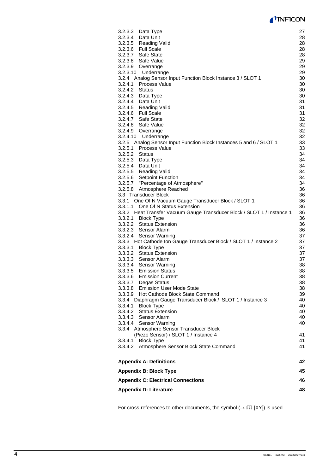# **TINFICON**

| 3.3.3 Hot Cathode Ion Gauge Transducer Block / SLOT 1 / Instance 2<br>3.3.3.1<br><b>Block Type</b><br>3.3.3.2 Status Extension<br>3.3.3.3 Sensor Alarm<br>3.3.3.4 Sensor Warning<br>3.3.3.5 Emission Status<br>3.3.3.6 Emission Current<br>3.3.3.7<br>Degas Status<br>3.3.3.8<br><b>Emission User Mode State</b><br>3.3.3.9 Hot Cathode Block State Command<br>3.3.4 Diaphragm Gauge Transducer Block / SLOT 1 / Instance 3<br>3.3.4.1 Block Type<br><b>Status Extension</b><br>3.3.4.2 | 37<br>37<br>37<br>37<br>38<br>38<br>38<br>38<br>38<br>39<br>40<br>40<br>40 |
|-----------------------------------------------------------------------------------------------------------------------------------------------------------------------------------------------------------------------------------------------------------------------------------------------------------------------------------------------------------------------------------------------------------------------------------------------------------------------------------------|----------------------------------------------------------------------------|
|                                                                                                                                                                                                                                                                                                                                                                                                                                                                                         |                                                                            |
|                                                                                                                                                                                                                                                                                                                                                                                                                                                                                         |                                                                            |
|                                                                                                                                                                                                                                                                                                                                                                                                                                                                                         |                                                                            |
|                                                                                                                                                                                                                                                                                                                                                                                                                                                                                         |                                                                            |
|                                                                                                                                                                                                                                                                                                                                                                                                                                                                                         |                                                                            |
|                                                                                                                                                                                                                                                                                                                                                                                                                                                                                         |                                                                            |
|                                                                                                                                                                                                                                                                                                                                                                                                                                                                                         |                                                                            |
|                                                                                                                                                                                                                                                                                                                                                                                                                                                                                         |                                                                            |
|                                                                                                                                                                                                                                                                                                                                                                                                                                                                                         |                                                                            |
|                                                                                                                                                                                                                                                                                                                                                                                                                                                                                         |                                                                            |
|                                                                                                                                                                                                                                                                                                                                                                                                                                                                                         |                                                                            |
|                                                                                                                                                                                                                                                                                                                                                                                                                                                                                         |                                                                            |
|                                                                                                                                                                                                                                                                                                                                                                                                                                                                                         |                                                                            |
|                                                                                                                                                                                                                                                                                                                                                                                                                                                                                         |                                                                            |
|                                                                                                                                                                                                                                                                                                                                                                                                                                                                                         |                                                                            |
| 3.3.2.4<br>Sensor Warning                                                                                                                                                                                                                                                                                                                                                                                                                                                               | 37                                                                         |
| 3.3.2.3 Sensor Alarm                                                                                                                                                                                                                                                                                                                                                                                                                                                                    | 36                                                                         |
| <b>Status Extension</b><br>3.3.2.2                                                                                                                                                                                                                                                                                                                                                                                                                                                      | 36                                                                         |
| 3.3.2.1 Block Type                                                                                                                                                                                                                                                                                                                                                                                                                                                                      | 36                                                                         |
| 3.3.2 Heat Transfer Vacuum Gauge Transducer Block / SLOT 1 / Instance 1                                                                                                                                                                                                                                                                                                                                                                                                                 |                                                                            |
|                                                                                                                                                                                                                                                                                                                                                                                                                                                                                         | 36                                                                         |
| One Of N Status Extension<br>3.3.1.1                                                                                                                                                                                                                                                                                                                                                                                                                                                    | 36                                                                         |
| 3.3.1 One Of N Vacuum Gauge Transducer Block / SLOT 1                                                                                                                                                                                                                                                                                                                                                                                                                                   | 36                                                                         |
| 3.3 Transducer Block                                                                                                                                                                                                                                                                                                                                                                                                                                                                    | 36                                                                         |
| 3.2.5.8 Atmosphere Reached                                                                                                                                                                                                                                                                                                                                                                                                                                                              | 36                                                                         |
| 3.2.5.7 "Percentage of Atmosphere"                                                                                                                                                                                                                                                                                                                                                                                                                                                      | 34                                                                         |
| 3.2.5.6 Setpoint Function                                                                                                                                                                                                                                                                                                                                                                                                                                                               | 34                                                                         |
| 3.2.5.5 Reading Valid                                                                                                                                                                                                                                                                                                                                                                                                                                                                   | 34                                                                         |
| 3.2.5.4 Data Unit                                                                                                                                                                                                                                                                                                                                                                                                                                                                       | 34                                                                         |
| 3.2.5.3 Data Type                                                                                                                                                                                                                                                                                                                                                                                                                                                                       | 34                                                                         |
| 3.2.5.2<br>Status                                                                                                                                                                                                                                                                                                                                                                                                                                                                       | 34                                                                         |
| 3.2.5.1 Process Value                                                                                                                                                                                                                                                                                                                                                                                                                                                                   | 33                                                                         |
| 3.2.5 Analog Sensor Input Function Block Instances 5 and 6 / SLOT 1                                                                                                                                                                                                                                                                                                                                                                                                                     | 33                                                                         |
| 3.2.4.10<br>Underrange                                                                                                                                                                                                                                                                                                                                                                                                                                                                  | 32                                                                         |
| 3.2.4.9<br>Overrange                                                                                                                                                                                                                                                                                                                                                                                                                                                                    |                                                                            |
|                                                                                                                                                                                                                                                                                                                                                                                                                                                                                         | 32                                                                         |
| 3.2.4.8<br>Safe Value                                                                                                                                                                                                                                                                                                                                                                                                                                                                   | 32                                                                         |
| 3.2.4.7<br>Safe State                                                                                                                                                                                                                                                                                                                                                                                                                                                                   | 32                                                                         |
| 3.2.4.6 Full Scale                                                                                                                                                                                                                                                                                                                                                                                                                                                                      | 31                                                                         |
| 3.2.4.5 Reading Valid                                                                                                                                                                                                                                                                                                                                                                                                                                                                   | 31                                                                         |
| 3.2.4.4 Data Unit                                                                                                                                                                                                                                                                                                                                                                                                                                                                       | 31                                                                         |
| 3.2.4.3 Data Type                                                                                                                                                                                                                                                                                                                                                                                                                                                                       | 30                                                                         |
| 3.2.4.2<br><b>Status</b>                                                                                                                                                                                                                                                                                                                                                                                                                                                                | 30                                                                         |
| 3.2.4.1<br>Process Value                                                                                                                                                                                                                                                                                                                                                                                                                                                                | 30                                                                         |
| 3.2.4 Analog Sensor Input Function Block Instance 3 / SLOT 1                                                                                                                                                                                                                                                                                                                                                                                                                            | 30                                                                         |
| 3.2.3.10<br>Underrange                                                                                                                                                                                                                                                                                                                                                                                                                                                                  | 29                                                                         |
| 3.2.3.9<br>Overrange                                                                                                                                                                                                                                                                                                                                                                                                                                                                    | 29                                                                         |
| 3.2.3.8<br>Safe Value                                                                                                                                                                                                                                                                                                                                                                                                                                                                   | 29                                                                         |
| 3.2.3.7 Safe State                                                                                                                                                                                                                                                                                                                                                                                                                                                                      | 28                                                                         |
| 3.2.3.6 Full Scale                                                                                                                                                                                                                                                                                                                                                                                                                                                                      | 28                                                                         |
|                                                                                                                                                                                                                                                                                                                                                                                                                                                                                         | 28                                                                         |
|                                                                                                                                                                                                                                                                                                                                                                                                                                                                                         | 28                                                                         |
| 3.2.3.5 Reading Valid                                                                                                                                                                                                                                                                                                                                                                                                                                                                   |                                                                            |
| 3.2.3.3<br>Data Type<br>3.2.3.4 Data Unit                                                                                                                                                                                                                                                                                                                                                                                                                                               | 27                                                                         |

For cross-references to other documents, the symbol  $(\rightarrow \boxtimes \text{[XY]})$  is used.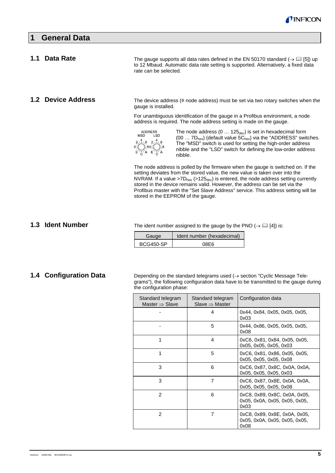

| <b>General Data</b>   |                                                                                                      |                                                                                                                                                                                                                                                                                                                                                                                                                                                                                                                                                                                                                                                                                                                                                                                                                                                                                                                                                                                                                                          |
|-----------------------|------------------------------------------------------------------------------------------------------|------------------------------------------------------------------------------------------------------------------------------------------------------------------------------------------------------------------------------------------------------------------------------------------------------------------------------------------------------------------------------------------------------------------------------------------------------------------------------------------------------------------------------------------------------------------------------------------------------------------------------------------------------------------------------------------------------------------------------------------------------------------------------------------------------------------------------------------------------------------------------------------------------------------------------------------------------------------------------------------------------------------------------------------|
| <b>Data Rate</b>      | rate can be selected.                                                                                | The gauge supports all data rates defined in the EN 50170 standard ( $\rightarrow$ 1 [5]) up<br>to 12 Mbaud. Automatic data rate setting is supported. Alternatively, a fixed data                                                                                                                                                                                                                                                                                                                                                                                                                                                                                                                                                                                                                                                                                                                                                                                                                                                       |
| <b>Device Address</b> | gauge is installed.<br><b>ADDRESS</b><br><b>MSD</b><br><b>LSD</b><br>$2\sqrt{4}$ / 6 $2\sqrt{4}$ / 6 | The device address ( $\triangleq$ node address) must be set via two rotary switches when the<br>For unambiguous identification of the gauge in a Profibus environment, a node<br>address is required. The node address setting is made on the gauge.<br>The node address $(0 \dots 125_{\text{dec}})$ is set in hexadecimal form<br>$(00 7D_{hex})$ (default value $5C_{hex}$ ) via the "ADDRESS" switches.<br>The "MSD" switch is used for setting the high-order address<br>nibble and the "LSD" switch for defining the low-order address<br>nibble.<br>The node address is polled by the firmware when the gauge is switched on. If the<br>setting deviates from the stored value, the new value is taken over into the<br>NVRAM. If a value >7 $D_{hex}$ (>125 $_{dec}$ ) is entered, the node address setting currently<br>stored in the device remains valid. However, the address can be set via the<br>Profibus master with the "Set Slave Address" service. This address setting will be<br>stored in the EEPROM of the gauge. |

# **1.3 Ident Number**

The ident number assigned to the gauge by the PNO  $(\rightarrow \Box$  [4]) is:

| Gauge            | Ident number (hexadecimal) |
|------------------|----------------------------|
| <b>BCG450-SP</b> | 08F6                       |

# **1.4 Configuration Data**

Depending on the standard telegrams used (→ section "Cyclic Message Telegrams"), the following configuration data have to be transmitted to the gauge during the configuration phase:

| Standard telegram<br>Master $\Rightarrow$ Slave | Standard telegram<br>Slave $\Rightarrow$ Master | Configuration data                                                     |
|-------------------------------------------------|-------------------------------------------------|------------------------------------------------------------------------|
|                                                 | 4                                               | 0x44, 0x84, 0x05, 0x05, 0x05,<br>0x03                                  |
|                                                 | 5                                               | 0x44, 0x86, 0x05, 0x05, 0x05,<br>0x08                                  |
|                                                 | 4                                               | 0xC6, 0x81, 0x84, 0x05, 0x05,<br>0x05, 0x05, 0x05, 0x03                |
|                                                 | 5                                               | 0xC6, 0x81, 0x86, 0x05, 0x05,<br>0x05, 0x05, 0x05, 0x08                |
| 3                                               | 6                                               | 0xC6, 0x87, 0x8C, 0x0A, 0x0A,<br>0x05, 0x05, 0x05, 0x03                |
| 3                                               | $\overline{7}$                                  | 0xC6, 0x87, 0x8E, 0x0A, 0x0A,<br>0x05, 0x05, 0x05, 0x08                |
| $\overline{2}$                                  | 6                                               | 0xC8, 0x89, 0x8C, 0x0A, 0x05,<br>0x05, 0x0A, 0x05, 0x05, 0x05,<br>0x03 |
| $\mathcal{P}$                                   | 7                                               | 0xC8, 0x89, 0x8E, 0x0A, 0x05,<br>0x05, 0x0A, 0x05, 0x05, 0x05,<br>0x08 |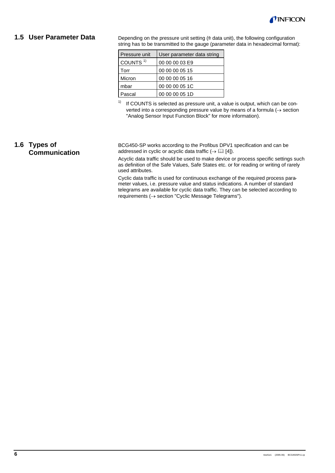

### **1.5 User Parameter Data**

Depending on the pressure unit setting  $($   $\cong$  data unit), the following configuration string has to be transmitted to the gauge (parameter data in hexadecimal format):

| Pressure unit        | User parameter data string |
|----------------------|----------------------------|
| COUNTS <sup>1)</sup> | 00 00 00 03 E9             |
| Torr                 | 00 00 00 05 15             |
| Micron               | 00 00 00 05 16             |
| mbar                 | 00 00 00 05 1C             |
| Pascal               | 00 00 00 05 1D             |

 $1)$  If COUNTS is selected as pressure unit, a value is output, which can be converted into a corresponding pressure value by means of a formula  $(\rightarrow$  section "Analog Sensor Input Function Block" for more information).

# **1.6 Types of Communication**

BCG450-SP works according to the Profibus DPV1 specification and can be addressed in cyclic or acyclic data traffic  $(\rightarrow \Box$  [4]).

Acyclic data traffic should be used to make device or process specific settings such as definition of the Safe Values, Safe States etc. or for reading or writing of rarely used attributes.

Cyclic data traffic is used for continuous exchange of the required process parameter values, i.e. pressure value and status indications. A number of standard telegrams are available for cyclic data traffic. They can be selected according to requirements (→ section "Cyclic Message Telegrams").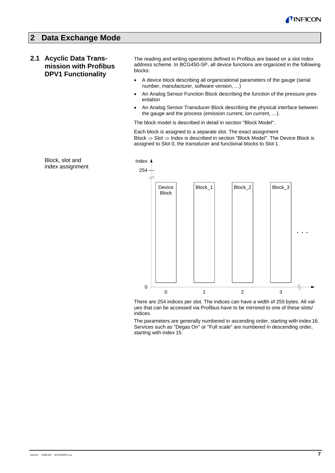

# **2 Data Exchange Mode**

# **2.1 Acyclic Data Transmission with Profibus DPV1 Functionality**

The reading and writing operations defined in Profibus are based on a slot index address scheme. In BCG450-SP, all device functions are organized in the following blocks:

- A device block describing all organizational parameters of the gauge (serial number, manufacturer, software version, …)
- An Analog Sensor Function Block describing the function of the pressure presentation
- An Analog Sensor Transducer Block describing the physical interface between the gauge and the process (emission current, ion current, …).

The block model is described in detail in section "Block Model".

Each block is assigned to a separate slot. The exact assignment Block ⇒ Slot ⇒ Index is described in section "Block Model". The Device Block is assigned to Slot 0, the transducer and functional blocks to Slot 1.

Block, slot and index assignment



There are 254 indices per slot. The indices can have a width of 255 bytes. All values that can be accessed via Profibus have to be mirrored to one of these slots/ indices.

The parameters are generally numbered in ascending order, starting with index 16. Services such as "Degas On" or "Full scale" are numbered in descending order, starting with index 15.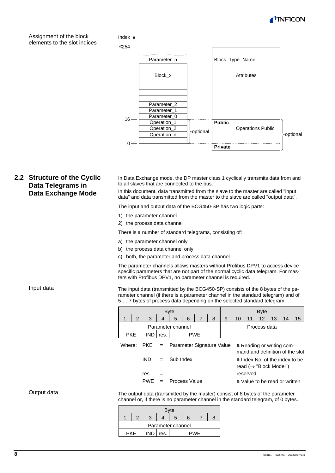

Assignment of the block elements to the slot indices

**Data Exchange Mode**



#### In Data Exchange mode, the DP master class 1 cyclically transmits data from and to all slaves that are connected to the bus. **2.2 Structure of the Cyclic Data Telegrams in**

In this document, data transmitted from the slave to the master are called "input data" and data transmitted from the master to the slave are called "output data".

The input and output data of the BCG450-SP has two logic parts:

- 1) the parameter channel
- 2) the process data channel

There is a number of standard telegrams, consisting of:

- a) the parameter channel only
- b) the process data channel only
- c) both, the parameter and process data channel

The parameter channels allows masters without Profibus DPV1 to access device specific parameters that are not part of the normal cyclic data telegram. For masters with Profibus DPV1, no parameter channel is required.

Input data

The input data (transmitted by the BCG450-SP) consists of the 8 bytes of the parameter channel (if there is a parameter channel in the standard telegram) and of 5 … 7 bytes of process data depending on the selected standard telegram.

| <b>Byte</b>                                              |               |            |                |                      |            |              |   |          |                                                              | <b>Byte</b> |                                                                                |                                         |    |    |
|----------------------------------------------------------|---------------|------------|----------------|----------------------|------------|--------------|---|----------|--------------------------------------------------------------|-------------|--------------------------------------------------------------------------------|-----------------------------------------|----|----|
|                                                          | $\mathcal{P}$ | 3          | $\overline{4}$ | 5                    | 6          |              | 8 | 9        | 10                                                           |             | 12                                                                             | 13                                      | 14 | 15 |
| Parameter channel                                        |               |            |                |                      |            | Process data |   |          |                                                              |             |                                                                                |                                         |    |    |
| <b>PKE</b>                                               |               | <b>IND</b> | res.           |                      | <b>PWE</b> |              |   |          |                                                              |             |                                                                                |                                         |    |    |
| Where:<br><b>PKE</b><br>Parameter Signature Value<br>$=$ |               |            |                |                      |            |              |   |          | ≙ Reading or writing com-<br>mand and definition of the slot |             |                                                                                |                                         |    |    |
|                                                          |               | IND        |                | Sub Index            |            |              |   |          |                                                              |             | $\triangle$ Index No. of the index to be<br>read $(\rightarrow$ "Block Model") |                                         |    |    |
|                                                          |               | res.       |                |                      |            |              |   | reserved |                                                              |             |                                                                                |                                         |    |    |
|                                                          |               | <b>PWF</b> |                | <b>Process Value</b> |            |              |   |          |                                                              |             |                                                                                | $\triangle$ Value to be read or written |    |    |

Output data

The output data (transmitted by the master) consist of 8 bytes of the parameter channel or, if there is no parameter channel in the standard telegram, of 0 bytes.

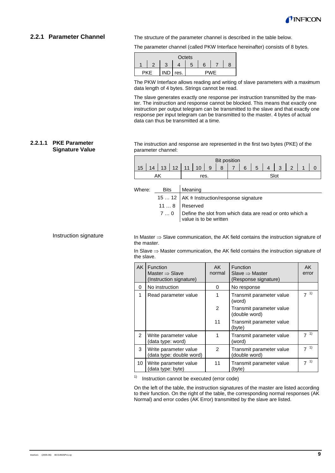

#### **2.2.1 Parameter Channel**

The structure of the parameter channel is described in the table below.

The parameter channel (called PKW Interface hereinafter) consists of 8 bytes.

|  |  |      | Octets |    |      |  |
|--|--|------|--------|----|------|--|
|  |  |      |        | ิค |      |  |
|  |  | res. |        |    | 77 L |  |

The PKW Interface allows reading and writing of slave parameters with a maximum data length of 4 bytes. Strings cannot be read.

The slave generates exactly one response per instruction transmitted by the master. The instruction and response cannot be blocked. This means that exactly one instruction per output telegram can be transmitted to the slave and that exactly one response per input telegram can be transmitted to the master. 4 bytes of actual data can thus be transmitted at a time.

#### **2.2.1.1 PKE Parameter Signature Value**

The instruction and response are represented in the first two bytes (PKE) of the parameter channel:

|                  |    |  |  |                                     | <b>Bit position</b> |  |         |  |  |
|------------------|----|--|--|-------------------------------------|---------------------|--|---------|--|--|
| 15 <sup>15</sup> | 14 |  |  | $13 \mid 12 \mid 11 \mid 10 \mid 9$ |                     |  | 8765432 |  |  |
|                  |    |  |  |                                     |                     |  |         |  |  |

Where: Bits Meaning

- 15 ... 12 AK  $\triangleq$  Instruction/response signature
- 11 ... 8 | Reserved
- 7 ... 0 Define the slot from which data are read or onto which a value is to be written

Instruction signature

In Master ⇒ Slave communication, the AK field contains the instruction signature of the master.

In Slave ⇒ Master communication, the AK field contains the instruction signature of the slave.

| <b>AK</b>       | Function<br>Master $\Rightarrow$ Slave<br>(Instruction signature) | AK<br>normal   | Function<br>Slave $\Rightarrow$ Master<br>(Response signature) | AK<br>error          |
|-----------------|-------------------------------------------------------------------|----------------|----------------------------------------------------------------|----------------------|
| $\Omega$        | No instruction                                                    | 0              | No response                                                    |                      |
| 1               | Read parameter value                                              | 1              | Transmit parameter value<br>(word)                             | 1)<br>$\overline{7}$ |
|                 |                                                                   | $\overline{2}$ | Transmit parameter value<br>(double word)                      |                      |
|                 |                                                                   | 11             | Transmit parameter value<br>(byte)                             |                      |
| $\mathcal{P}$   | Write parameter value<br>(data type: word)                        |                | Transmit parameter value<br>(word)                             | $7^{1}$              |
| 3               | Write parameter value<br>data type: double word)                  | $\mathfrak{p}$ | Transmit parameter value<br>(double word)                      | 1)<br>$\overline{ }$ |
| 10 <sup>°</sup> | Write parameter value<br>(data type: byte)                        | 11             | Transmit parameter value<br>(byte)                             | $7^{1}$              |

 $1)$  Instruction cannot be executed (error code)

On the left of the table, the instruction signatures of the master are listed according to their function. On the right of the table, the corresponding normal responses (AK Normal) and error codes (AK Error) transmitted by the slave are listed.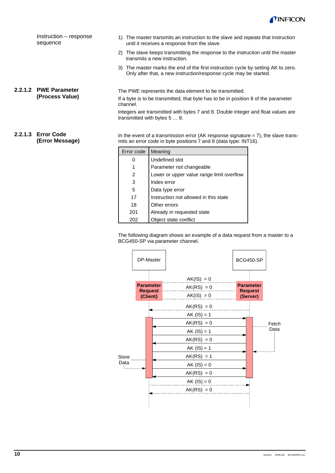

Instruction – response sequence

### **2.2.1.2 PWE Parameter (Process Value)**

3) The master marks the end of the first instruction cycle by setting AK to zero. Only after that, a new instruction/response cycle may be started.

1) The master transmits an instruction to the slave and repeats that instruction

2) The slave keeps transmitting the response to the instruction until the master

until it receives a response from the slave.

transmits a new instruction.

The PWE represents the data element to be transmitted. If a byte is to be transmitted, that byte has to be in position 8 of the parameter channel.

Integers are transmitted with bytes 7 and 8. Double integer and float values are transmitted with bytes 5 … 8.

#### **2.2.1.3 Error Code (Error Message)**

In the event of a transmission error (AK response signature  $= 7$ ), the slave transmits an error code in byte positions  $\overline{7}$  and 8 (data type: INT16).

| Error code | Meaning                                   |
|------------|-------------------------------------------|
|            | Undefined slot                            |
|            | Parameter not changeable                  |
| 2          | Lower or upper value range limit overflow |
| 3          | Index error                               |
| 5          | Data type error                           |
| 17         | Instruction not allowed in this state     |
| 18         | Other errors                              |
| 201        | Already in requested state                |
| 202        | Object state conflict                     |

The following diagram shows an example of a data request from a master to a BCG450-SP via parameter channel.

|              | DP-Master |                                                |               | BCG450-SP                  |       |
|--------------|-----------|------------------------------------------------|---------------|----------------------------|-------|
|              |           |                                                | $AK(IS) = 0$  |                            |       |
|              |           | <b>Parameter</b><br><b>Request</b><br>(Client) | $AK(RS) = 0$  | <b>Parameter</b>           |       |
|              |           |                                                | $AK(IS) = 0$  | <b>Request</b><br>(Server) |       |
|              |           |                                                | $AK(RS) = 0$  |                            |       |
|              |           |                                                | $AK (IS) = 1$ |                            | Fetch |
|              |           |                                                | $AK(RS) = 0$  |                            |       |
|              |           |                                                | $AK (IS) = 1$ |                            | Data  |
|              |           |                                                | $AK(RS) = 0$  |                            |       |
|              |           |                                                | $AK (IS) = 1$ |                            |       |
| <b>Store</b> |           |                                                | $AK(RS) = 1$  |                            |       |
| Data         |           |                                                | $AK (IS) = 0$ |                            |       |
|              |           |                                                | $AK(RS) = 0$  |                            |       |
|              |           |                                                | $AK (IS) = 0$ |                            |       |
|              |           |                                                |               |                            |       |
|              |           |                                                |               |                            |       |
|              |           |                                                |               |                            |       |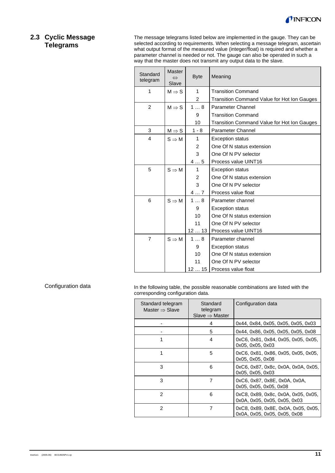

# **2.3 Cyclic Message Telegrams**

The message telegrams listed below are implemented in the gauge. They can be selected according to requirements. When selecting a message telegram, ascertain what output format of the measured value (integer/float) is required and whether a parameter channel is needed or not. The gauge can also be operated in such a way that the master does not transmit any output data to the slave.

| Standard<br>telegram | <b>Master</b><br>$\Leftrightarrow$<br>Slave | <b>Byte</b>    | Meaning                                     |
|----------------------|---------------------------------------------|----------------|---------------------------------------------|
| 1                    | $M \Rightarrow S$                           | 1              | <b>Transition Command</b>                   |
|                      |                                             | $\overline{c}$ | Transition Command Value for Hot Ion Gauges |
| $\overline{2}$       | $M \Rightarrow S$                           | 18             | Parameter Channel                           |
|                      |                                             | 9              | <b>Transition Command</b>                   |
|                      |                                             | 10             | Transition Command Value for Hot Ion Gauges |
| 3                    | $M \Rightarrow S$                           | $1 - 8$        | <b>Parameter Channel</b>                    |
| 4                    | $S \Rightarrow M$                           | 1              | <b>Exception status</b>                     |
|                      |                                             | 2              | One Of N status extension                   |
|                      |                                             | 3              | One Of N PV selector                        |
|                      |                                             | 45             | Process value UINT16                        |
| 5                    | $S \Rightarrow M$                           | 1              | <b>Exception status</b>                     |
|                      |                                             | 2              | One Of N status extension                   |
|                      |                                             | 3              | One Of N PV selector                        |
|                      |                                             | 47             | Process value float                         |
| 6                    | $S \Rightarrow M$                           | 18             | Parameter channel                           |
|                      |                                             | 9              | <b>Exception status</b>                     |
|                      |                                             | 10             | One Of N status extension                   |
|                      |                                             | 11             | One Of N PV selector                        |
|                      |                                             | 1213           | Process value UINT16                        |
| $\overline{7}$       | $S \Rightarrow M$                           | 18             | Parameter channel                           |
|                      |                                             | 9              | <b>Exception status</b>                     |
|                      |                                             | 10             | One Of N status extension                   |
|                      |                                             | 11             | One Of N PV selector                        |
|                      |                                             |                | 12  15   Process value float                |

Configuration data

In the following table, the possible reasonable combinations are listed with the corresponding configuration data.

| Standard telegram<br>Master $\Rightarrow$ Slave | Standard<br>telegram<br>Slave $\Rightarrow$ Master | Configuration data                                                  |
|-------------------------------------------------|----------------------------------------------------|---------------------------------------------------------------------|
|                                                 | 4                                                  | 0x44, 0x84, 0x05, 0x05, 0x05, 0x03                                  |
|                                                 | 5                                                  | 0x44, 0x86, 0x05, 0x05, 0x05, 0x08                                  |
| 1                                               | 4                                                  | 0xC6, 0x81, 0x84, 0x05, 0x05, 0x05,<br>0x05, 0x05, 0x03             |
| 1                                               | 5                                                  | 0xC6, 0x81, 0x86, 0x05, 0x05, 0x05,<br>0x05, 0x05, 0x08             |
| 3                                               | 6                                                  | 0xC6, 0x87, 0x8c, 0x0A, 0x0A, 0x05,<br>0x05, 0x05, 0x03             |
| 3                                               | 7                                                  | 0xC6, 0x87, 0x8E, 0x0A, 0x0A,<br>0x05, 0x05, 0x05, 0x08             |
| 2                                               | 6                                                  | 0xC8, 0x89, 0x8c, 0x0A, 0x05, 0x05,<br>0x0A, 0x05, 0x05, 0x05, 0x03 |
| $\mathfrak{p}$                                  | 7                                                  | 0xC8, 0x89, 0x8E, 0x0A, 0x05, 0x05,<br>0x0A, 0x05, 0x05, 0x05, 0x08 |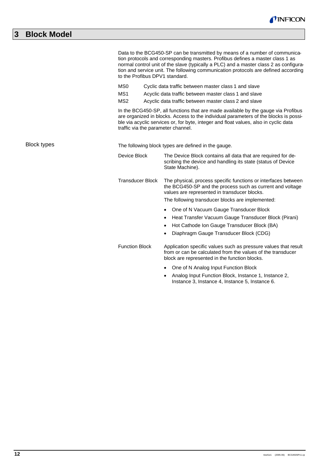|             | to the Profibus DPV1 standard.                                                                                                                                                                                                                                                                                                                                                                                                                                                                                                 | Data to the BCG450-SP can be transmitted by means of a number of communica-<br>tion protocols and corresponding masters. Profibus defines a master class 1 as<br>normal control unit of the slave (typically a PLC) and a master class 2 as configura-<br>tion and service unit. The following communication protocols are defined according |  |  |  |  |
|-------------|--------------------------------------------------------------------------------------------------------------------------------------------------------------------------------------------------------------------------------------------------------------------------------------------------------------------------------------------------------------------------------------------------------------------------------------------------------------------------------------------------------------------------------|----------------------------------------------------------------------------------------------------------------------------------------------------------------------------------------------------------------------------------------------------------------------------------------------------------------------------------------------|--|--|--|--|
|             | MS <sub>0</sub><br>Cyclic data traffic between master class 1 and slave<br>MS1<br>Acyclic data traffic between master class 1 and slave<br>MS <sub>2</sub><br>Acyclic data traffic between master class 2 and slave<br>In the BCG450-SP, all functions that are made available by the gauge via Profibus<br>are organized in blocks. Access to the individual parameters of the blocks is possi-<br>ble via acyclic services or, for byte, integer and float values, also in cyclic data<br>traffic via the parameter channel. |                                                                                                                                                                                                                                                                                                                                              |  |  |  |  |
| Block types | The following block types are defined in the gauge.                                                                                                                                                                                                                                                                                                                                                                                                                                                                            |                                                                                                                                                                                                                                                                                                                                              |  |  |  |  |
|             | Device Block                                                                                                                                                                                                                                                                                                                                                                                                                                                                                                                   | The Device Block contains all data that are required for de-<br>scribing the device and handling its state (status of Device<br>State Machine).                                                                                                                                                                                              |  |  |  |  |
|             | <b>Transducer Block</b>                                                                                                                                                                                                                                                                                                                                                                                                                                                                                                        | The physical, process specific functions or interfaces between<br>the BCG450-SP and the process such as current and voltage<br>values are represented in transducer blocks.<br>The following transducer blocks are implemented:                                                                                                              |  |  |  |  |
|             |                                                                                                                                                                                                                                                                                                                                                                                                                                                                                                                                | One of N Vacuum Gauge Transducer Block<br>$\bullet$<br>Heat Transfer Vacuum Gauge Transducer Block (Pirani)<br>Hot Cathode Ion Gauge Transducer Block (BA)<br>$\bullet$<br>Diaphragm Gauge Transducer Block (CDG)<br>$\bullet$                                                                                                               |  |  |  |  |
|             | <b>Function Block</b>                                                                                                                                                                                                                                                                                                                                                                                                                                                                                                          | Application specific values such as pressure values that result<br>from or can be calculated from the values of the transducer<br>block are represented in the function blocks.                                                                                                                                                              |  |  |  |  |
|             |                                                                                                                                                                                                                                                                                                                                                                                                                                                                                                                                | • One of N Analog Input Function Block                                                                                                                                                                                                                                                                                                       |  |  |  |  |

• Analog Input Function Block, Instance 1, Instance 2, Instance 3, Instance 4, Instance 5, Instance 6.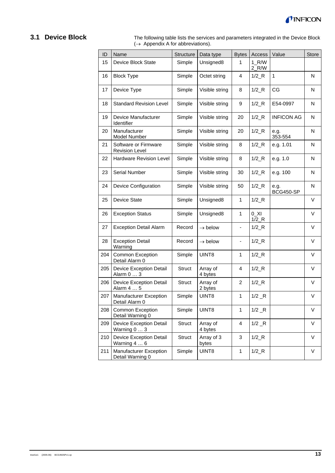

# **3.1 Device Block**

The following table lists the services and parameters integrated in the Device Block  $(\rightarrow$  Appendix A for abbreviations).

| ID  | Name                                              | Structure     | Data type           | <b>Bytes</b>                 | Access                          | Value             | Store  |
|-----|---------------------------------------------------|---------------|---------------------|------------------------------|---------------------------------|-------------------|--------|
| 15  | Device Block State                                | Simple        | Unsigned8           | 1                            | $1_R/W$<br>$2_R/W$              |                   |        |
| 16  | <b>Block Type</b>                                 | Simple        | Octet string        | 4                            | $1/2$ <sub>R</sub>              | $\mathbf{1}$      | N      |
| 17  | Device Type                                       | Simple        | Visible string      | 8                            | $1/2$ <sub>R</sub>              | CG                | N      |
| 18  | <b>Standard Revision Level</b>                    | Simple        | Visible string      | 9                            | $1/2$ <sub>R</sub>              | E54-0997          | N      |
| 19  | Device Manufacturer<br>Identifier                 | Simple        | Visible string      | 20                           | $1/2$ <sub><math>R</math></sub> | <b>INFICON AG</b> | N      |
| 20  | Manufacturer<br>Model Number                      | Simple        | Visible string      | 20                           | $1/2$ <sub>R</sub>              | e.g.<br>353-554   | N      |
| 21  | Software or Firmware<br><b>Revision Level</b>     | Simple        | Visible string      | 8                            | $1/2$ <sub>R</sub>              | e.g. 1.01         | N      |
| 22  | Hardware Revision Level                           | Simple        | Visible string      | 8                            | $1/2$ <sub><math>R</math></sub> | e.g. 1.0          | N      |
| 23  | Serial Number                                     | Simple        | Visible string      | 30                           | $1/2$ <sub>R</sub>              | e.g. 100          | N      |
| 24  | <b>Device Configuration</b>                       | Simple        | Visible string      | 50                           | $1/2$ <sub><math>R</math></sub> | e.g.<br>BCG450-SP | N      |
| 25  | Device State                                      | Simple        | Unsigned8           | $\mathbf{1}$                 | $1/2$ <sub>R</sub>              |                   | $\vee$ |
| 26  | <b>Exception Status</b>                           | Simple        | Unsigned8           | 1                            | $0$ _XI<br>$1/2$ <sub>R</sub>   |                   | V      |
| 27  | <b>Exception Detail Alarm</b>                     | Record        | $\rightarrow$ below | $\qquad \qquad \blacksquare$ | $1/2$ <sub>R</sub>              |                   | V      |
| 28  | <b>Exception Detail</b><br>Warning                | Record        | $\rightarrow$ below |                              | $1/2$ <sub>R</sub>              |                   | V      |
| 204 | Common Exception<br>Detail Alarm 0                | Simple        | UINT8               | 1                            | $1/2_R$                         |                   | $\vee$ |
| 205 | <b>Device Exception Detail</b><br>Alarm 0  3      | <b>Struct</b> | Array of<br>4 bytes | 4                            | $1/2$ R                         |                   | $\vee$ |
| 206 | <b>Device Exception Detail</b><br>Alarm 4  5      | <b>Struct</b> | Array of<br>2 bytes | $\overline{c}$               | $1/2$ <sub>R</sub>              |                   | V      |
| 207 | Manufacturer Exception<br>Detail Alarm 0          | Simple        | UINT8               | 1                            | $1/2$ $R$                       |                   | V      |
| 208 | Common Exception<br>Detail Warning 0              | Simple        | UINT8               | 1                            | $1/2$ $R$                       |                   | V      |
| 209 | <b>Device Exception Detail</b><br>Warning 0  3    | <b>Struct</b> | Array of<br>4 bytes | 4                            | $1/2$ $R$                       |                   | V      |
| 210 | <b>Device Exception Detail</b><br>Warning 4  6    | Struct        | Array of 3<br>bytes | 3                            | $1/2$ <sub><math>R</math></sub> |                   | $\vee$ |
| 211 | <b>Manufacturer Exception</b><br>Detail Warning 0 | Simple        | UINT8               | $\mathbf{1}$                 | $1/2$ <sub><math>R</math></sub> |                   | $\vee$ |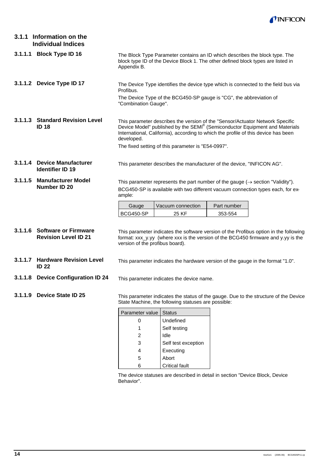

|         | 3.1.1 Information on the<br><b>Individual Indices</b>       |                                                                                                                                                                                                                                                                                                                        |                                                                     |             |  |  |  |
|---------|-------------------------------------------------------------|------------------------------------------------------------------------------------------------------------------------------------------------------------------------------------------------------------------------------------------------------------------------------------------------------------------------|---------------------------------------------------------------------|-------------|--|--|--|
|         | 3.1.1.1 Block Type ID 16                                    | The Block Type Parameter contains an ID which describes the block type. The<br>block type ID of the Device Block 1. The other defined block types are listed in<br>Appendix B.                                                                                                                                         |                                                                     |             |  |  |  |
|         | 3.1.1.2 Device Type ID 17                                   | The Device Type identifies the device type which is connected to the field bus via<br>Profibus.                                                                                                                                                                                                                        |                                                                     |             |  |  |  |
|         |                                                             | "Combination Gauge".                                                                                                                                                                                                                                                                                                   | The Device Type of the BCG450-SP gauge is "CG", the abbreviation of |             |  |  |  |
|         | 3.1.1.3 Standard Revision Level<br><b>ID 18</b>             | This parameter describes the version of the "Sensor/Actuator Network Specific<br>Device Model" published by the SEMI® (Semiconductor Equipment and Materials<br>International, California), according to which the profile of this device has been<br>developed.<br>The fixed setting of this parameter is "E54-0997". |                                                                     |             |  |  |  |
|         |                                                             |                                                                                                                                                                                                                                                                                                                        |                                                                     |             |  |  |  |
|         | 3.1.1.4 Device Manufacturer<br><b>Identifier ID 19</b>      | This parameter describes the manufacturer of the device, "INFICON AG".                                                                                                                                                                                                                                                 |                                                                     |             |  |  |  |
| 3.1.1.5 | <b>Manufacturer Model</b><br>Number ID 20                   | This parameter represents the part number of the gauge $(\rightarrow$ section "Validity").<br>BCG450-SP is available with two different vacuum connection types each, for ex-<br>ample:                                                                                                                                |                                                                     |             |  |  |  |
|         |                                                             | Gauge                                                                                                                                                                                                                                                                                                                  | Vacuum connection                                                   | Part number |  |  |  |
|         |                                                             | BCG450-SP                                                                                                                                                                                                                                                                                                              | 25 KF                                                               | 353-554     |  |  |  |
|         | 3.1.1.6 Software or Firmware<br><b>Revision Level ID 21</b> | This parameter indicates the software version of the Profibus option in the following<br>format: xxx_y.yy (where xxx is the version of the BCG450 firmware and y.yy is the<br>version of the profibus board).                                                                                                          |                                                                     |             |  |  |  |
|         | 3.1.1.7 Hardware Revision Level<br><b>ID 22</b>             | This parameter indicates the hardware version of the gauge in the format "1.0".                                                                                                                                                                                                                                        |                                                                     |             |  |  |  |
|         | 3.1.1.8 Device Configuration ID 24                          | This parameter indicates the device name.                                                                                                                                                                                                                                                                              |                                                                     |             |  |  |  |
|         | 3.1.1.9 Device State ID 25                                  | This parameter indicates the status of the gauge. Due to the structure of the Device<br>State Machine, the following statuses are possible:                                                                                                                                                                            |                                                                     |             |  |  |  |
|         |                                                             | Parameter value                                                                                                                                                                                                                                                                                                        | <b>Status</b>                                                       |             |  |  |  |
|         |                                                             | 0                                                                                                                                                                                                                                                                                                                      | Undefined                                                           |             |  |  |  |
|         |                                                             | 1                                                                                                                                                                                                                                                                                                                      | Self testing                                                        |             |  |  |  |
|         |                                                             | 2                                                                                                                                                                                                                                                                                                                      | Idle                                                                |             |  |  |  |
|         |                                                             | 3                                                                                                                                                                                                                                                                                                                      | Self test exception                                                 |             |  |  |  |
|         |                                                             | 4                                                                                                                                                                                                                                                                                                                      | Executing                                                           |             |  |  |  |

5 Abort 6 Critical fault

The device statuses are described in detail in section "Device Block, Device Behavior".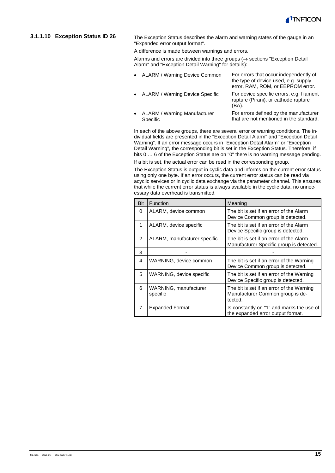

#### **3.1.1.10 Exception Status ID 26**

The Exception Status describes the alarm and warning states of the gauge in an "Expanded error output format".

A difference is made between warnings and errors.

Alarms and errors are divided into three groups ( $\rightarrow$  sections "Exception Detail Alarm" and "Exception Detail Warning" for details):

| • ALARM / Warning Device Common                              | For errors that occur independently of<br>the type of device used, e.g. supply<br>error, RAM, ROM, or EEPROM error. |
|--------------------------------------------------------------|---------------------------------------------------------------------------------------------------------------------|
| • ALARM / Warning Device Specific                            | For device specific errors, e.g. filament<br>rupture (Pirani), or cathode rupture<br>(BA).                          |
| ALARM / Warning Manufacturer<br>$\bullet$<br><b>Specific</b> | For errors defined by the manufacturer<br>that are not mentioned in the standard.                                   |

In each of the above groups, there are several error or warning conditions. The individual fields are presented in the "Exception Detail Alarm" and "Exception Detail Warning". If an error message occurs in "Exception Detail Alarm" or "Exception Detail Warning", the corresponding bit is set in the Exception Status. Therefore, if bits 0 … 6 of the Exception Status are on "0" there is no warning message pending.

If a bit is set, the actual error can be read in the corresponding group.

The Exception Status is output in cyclic data and informs on the current error status using only one byte. If an error occurs, the current error status can be read via acyclic services or in cyclic data exchange via the parameter channel. This ensures that while the current error status is always available in the cyclic data, no unnecessary data overhead is transmitted.

| Bit           | Function                          | Meaning                                                                                  |
|---------------|-----------------------------------|------------------------------------------------------------------------------------------|
| 0             | ALARM, device common              | The bit is set if an error of the Alarm<br>Device Common group is detected.              |
| 1             | ALARM, device specific            | The bit is set if an error of the Alarm<br>Device Specific group is detected.            |
| $\mathcal{P}$ | ALARM, manufacturer specific      | The bit is set if an error of the Alarm<br>Manufacturer Specific group is detected.      |
| 3             |                                   |                                                                                          |
| 4             | WARNING, device common            | The bit is set if an error of the Warning<br>Device Common group is detected.            |
| 5             | WARNING, device specific          | The bit is set if an error of the Warning<br>Device Specific group is detected.          |
| 6             | WARNING, manufacturer<br>specific | The bit is set if an error of the Warning<br>Manufacturer Common group is de-<br>tected. |
| 7             | <b>Expanded Format</b>            | Is constantly on "1" and marks the use of<br>the expanded error output format.           |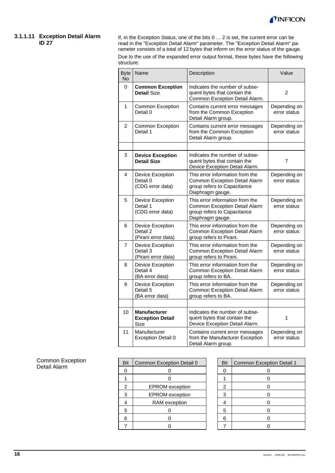

#### **3.1.1.11 Exception Detail Alarm ID 27**

If, in the Exception Status, one of the bits 0 … 2 is set, the current error can be read in the "Exception Detail Alarm" parameter. The "Exception Detail Alarm" parameter consists of a total of 12 bytes that inform on the error status of the gauge. Due to the use of the expanded error output format, these bytes have the following structure:

| <b>Byte</b><br><b>No</b> | Name                                                   | Description                                                                                                         | Value                        |
|--------------------------|--------------------------------------------------------|---------------------------------------------------------------------------------------------------------------------|------------------------------|
| 0                        | <b>Common Exception</b><br><b>Detail Size</b>          | Indicates the number of subse-<br>quent bytes that contain the<br>Common Exception Detail Alarm.                    | 2                            |
| 1                        | <b>Common Exception</b><br>Detail 0                    | Contains current error messages<br>from the Common Exception<br>Detail Alarm group.                                 | Depending on<br>error status |
| 2                        | <b>Common Exception</b><br>Detail 1                    | Contains current error messages<br>from the Common Exception<br>Detail Alarm group.                                 | Depending on<br>error status |
|                          |                                                        |                                                                                                                     |                              |
| 3                        | <b>Device Exception</b><br><b>Detail Size</b>          | Indicates the number of subse-<br>quent bytes that contain the<br>Device Exception Detail Alarm.                    | $\overline{7}$               |
| 4                        | Device Exception<br>Detail 0<br>(CDG error data)       | This error information from the<br>Common Exception Detail Alarm<br>group refers to Capacitance<br>Diaphragm gauge. | Depending on<br>error status |
| 5                        | Device Exception<br>Detail 1<br>(CDG error data)       | This error information from the<br>Common Exception Detail Alarm<br>group refers to Capacitance<br>Diaphragm gauge. | Depending on<br>error status |
| 6                        | Device Exception<br>Detail 2<br>(Pirani error data)    | This error information from the<br>Common Exception Detail Alarm<br>group refers to Pirani.                         | Depending on<br>error status |
| 7                        | Device Exception<br>Detail 3<br>(Pirani error data)    | This error information from the<br>Common Exception Detail Alarm<br>group refers to Pirani.                         | Depending on<br>error status |
| 8                        | Device Exception<br>Detail 4<br>(BA error data)        | This error information from the<br>Common Exception Detail Alarm<br>group refers to BA.                             | Depending on<br>error status |
| 9                        | Device Exception<br>Detail 5<br>(BA error data)        | This error information from the<br>Common Exception Detail Alarm<br>group refers to BA.                             | Depending on<br>error status |
|                          |                                                        |                                                                                                                     |                              |
| 10                       | <b>Manufacturer</b><br><b>Exception Detail</b><br>Size | Indicates the number of subse-<br>quent bytes that contain the<br>Device Exception Detail Alarm.                    | 1                            |
| 11                       | Manufacturer<br>Exception Detail 0                     | Contains current error messages<br>from the Manufacturer Exception<br>Detail Alarm group.                           | Depending on<br>error status |

Common Exception Detail Alarm

| Bit | Common Exception Detail 0 | Bit | Common Exception Detail 1 |
|-----|---------------------------|-----|---------------------------|
|     |                           |     |                           |
|     |                           |     |                           |
| 2   | <b>EPROM</b> exception    | 2   |                           |
| 3   | <b>EPROM</b> exception    | з   |                           |
|     | RAM exception             |     |                           |
| 5   |                           | 5   |                           |
| 6   |                           | 6   |                           |
|     |                           |     |                           |

| Bit            | <b>Common Exception Detail 1</b> |
|----------------|----------------------------------|
| 0              | 0                                |
|                | 0                                |
| $\overline{c}$ | 0                                |
| 3              | 0                                |
|                | 0                                |
| 5              | 0                                |
| 6              | በ                                |
|                | r                                |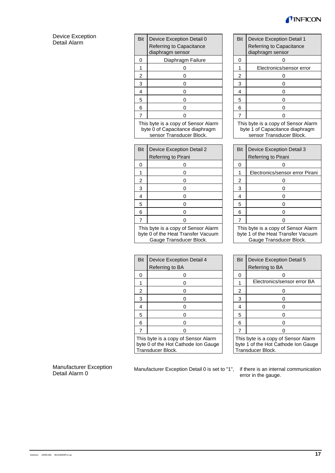

#### Device Exception Detail Alarm

| Bit                                                                                                  | Device Exception Detail 0                                                                          |  | Bit            | Device Exception Detail 1                                                                        |
|------------------------------------------------------------------------------------------------------|----------------------------------------------------------------------------------------------------|--|----------------|--------------------------------------------------------------------------------------------------|
|                                                                                                      | Referring to Capacitance<br>diaphragm sensor                                                       |  |                | Referring to Capacitance<br>diaphragm sensor                                                     |
| 0                                                                                                    | Diaphragm Failure                                                                                  |  | 0              | 0                                                                                                |
| 1                                                                                                    | 0                                                                                                  |  | $\mathbf{1}$   | Electronics/sensor error                                                                         |
| $\overline{c}$                                                                                       | 0                                                                                                  |  | $\overline{2}$ | 0                                                                                                |
| 3                                                                                                    | 0                                                                                                  |  | 3              | 0                                                                                                |
| 4                                                                                                    | 0                                                                                                  |  | 4              | 0                                                                                                |
| 5                                                                                                    | 0                                                                                                  |  | 5              | 0                                                                                                |
| 6                                                                                                    | 0                                                                                                  |  | 6              | 0                                                                                                |
| $\overline{7}$                                                                                       | 0                                                                                                  |  | 7              | 0                                                                                                |
|                                                                                                      | This byte is a copy of Sensor Alarm<br>byte 0 of Capacitance diaphragm<br>sensor Transducer Block. |  |                | This byte is a copy of Sensor Ala<br>byte 1 of Capacitance diaphrag<br>sensor Transducer Block.  |
|                                                                                                      |                                                                                                    |  |                |                                                                                                  |
| Bit                                                                                                  | Device Exception Detail 2                                                                          |  | Bit            | Device Exception Detail 3                                                                        |
|                                                                                                      | Referring to Pirani                                                                                |  |                | Referring to Pirani                                                                              |
| 0                                                                                                    | 0                                                                                                  |  | 0              | 0                                                                                                |
| 1                                                                                                    | 0                                                                                                  |  | 1              | Electronics/sensor error Pir                                                                     |
| $\overline{c}$                                                                                       | 0                                                                                                  |  | $\overline{2}$ | 0                                                                                                |
| 3                                                                                                    | 0                                                                                                  |  | 3              | 0                                                                                                |
| 4                                                                                                    | 0                                                                                                  |  | 4              | 0                                                                                                |
| 5                                                                                                    | 0                                                                                                  |  | 5              | 0                                                                                                |
| 6                                                                                                    | 0                                                                                                  |  | 6              | 0                                                                                                |
| $\overline{7}$                                                                                       | 0                                                                                                  |  | $\overline{7}$ | 0                                                                                                |
| This byte is a copy of Sensor Alarm<br>byte 0 of the Heat Transfer Vacuum<br>Gauge Transducer Block. |                                                                                                    |  |                | This byte is a copy of Sensor Ala<br>byte 1 of the Heat Transfer Vacu<br>Gauge Transducer Block. |
|                                                                                                      |                                                                                                    |  |                |                                                                                                  |
| <b>Bit</b>                                                                                           | Device Exception Detail 4                                                                          |  | Bit            | Device Exception Detail 5                                                                        |
|                                                                                                      | Referring to BA                                                                                    |  |                | Referring to BA                                                                                  |
| ∩                                                                                                    |                                                                                                    |  | <sup>n</sup>   |                                                                                                  |

| Bit | <b>Device Exception Detail 1</b>             |  |  |  |  |
|-----|----------------------------------------------|--|--|--|--|
|     | Referring to Capacitance<br>diaphragm sensor |  |  |  |  |
| 0   |                                              |  |  |  |  |
|     | Electronics/sensor error                     |  |  |  |  |
| 2   |                                              |  |  |  |  |
| 3   | ი                                            |  |  |  |  |
| 4   | ი                                            |  |  |  |  |
| 5   |                                              |  |  |  |  |
| 6   |                                              |  |  |  |  |
|     |                                              |  |  |  |  |

 This byte is a copy of Sensor Alarm byte 1 of Capacitance diaphragm sensor Transducer Block.

| 3it                                                                       | Device Exception Detail 2 | <b>Bit</b> | Device Exception Detail 3                                                 |
|---------------------------------------------------------------------------|---------------------------|------------|---------------------------------------------------------------------------|
|                                                                           | Referring to Pirani       |            | Referring to Pirani                                                       |
| 0                                                                         |                           |            |                                                                           |
| 1                                                                         |                           |            | Electronics/sensor error Pirani                                           |
| 2                                                                         |                           | 2          |                                                                           |
| 3                                                                         |                           | 3          |                                                                           |
| 4                                                                         |                           | 4          |                                                                           |
| 5                                                                         |                           | 5          |                                                                           |
| 6                                                                         |                           | 6          |                                                                           |
|                                                                           |                           |            |                                                                           |
| This byte is a copy of Sensor Alarm<br>yyte 0 of the Heat Transfer Vacuum |                           |            | This byte is a copy of Sensor Alarm<br>byte 1 of the Heat Transfer Vacuum |

| 3it                                                                                          | Device Exception Detail 4 |  | Bit | Device Exception Detail 5                                                                       |
|----------------------------------------------------------------------------------------------|---------------------------|--|-----|-------------------------------------------------------------------------------------------------|
|                                                                                              | Referring to BA           |  |     | Referring to BA                                                                                 |
| 0                                                                                            |                           |  | O   |                                                                                                 |
| 1                                                                                            |                           |  |     | Electronics/sensor error BA                                                                     |
| $\overline{\mathbf{c}}$                                                                      |                           |  | 2   |                                                                                                 |
| 3                                                                                            |                           |  | 3   |                                                                                                 |
| 4                                                                                            |                           |  | 4   |                                                                                                 |
| 5                                                                                            |                           |  | 5   |                                                                                                 |
| 6                                                                                            |                           |  | 6   |                                                                                                 |
|                                                                                              |                           |  |     |                                                                                                 |
| his byte is a copy of Sensor Alarm<br>yte 0 of the Hot Cathode Ion Gauge<br>ransducer Block. |                           |  |     | This byte is a copy of Sensor Alarm<br>byte 1 of the Hot Cathode Ion Gauge<br>Transducer Block. |

#### Manufacturer Exception Detail Alarm 0

Manufacturer Exception Detail 0 is set to "1", if there is an internal communication

Transducer Block.

error in the gauge.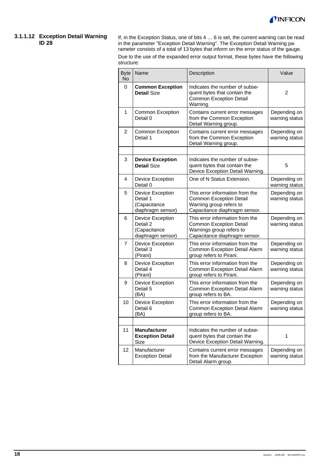

#### **3.1.1.12 Exception Detail Warning ID 28**

If, in the Exception Status, one of bits 4 … 6 is set, the current warning can be read in the parameter "Exception Detail Warning". The Exception Detail Warning parameter consists of a total of 13 bytes that inform on the error status of the gauge. Due to the use of the expanded error output format, these bytes have the following structure:

| <b>Byte</b><br>No | Name                                                              | Description                                                                                                                    | Value                          |
|-------------------|-------------------------------------------------------------------|--------------------------------------------------------------------------------------------------------------------------------|--------------------------------|
| 0                 | <b>Common Exception</b><br><b>Detail Size</b>                     | Indicates the number of subse-<br>quent bytes that contain the<br><b>Common Exception Detail</b><br>Warning.                   | 2                              |
| 1                 | <b>Common Exception</b><br>Detail 0                               | Contains current error messages<br>from the Common Exception<br>Detail Warning group.                                          | Depending on<br>warning status |
| $\overline{2}$    | <b>Common Exception</b><br>Detail 1                               | Contains current error messages<br>from the Common Exception<br>Detail Warning group.                                          | Depending on<br>warning status |
|                   |                                                                   |                                                                                                                                |                                |
| 3                 | <b>Device Exception</b><br><b>Detail Size</b>                     | Indicates the number of subse-<br>quent bytes that contain the<br>Device Exception Detail Warning.                             | 5                              |
| 4                 | Device Exception<br>Detail 0                                      | One of N Status Extension.                                                                                                     | Depending on<br>warning status |
| 5                 | Device Exception<br>Detail 1<br>(Capacitance<br>diaphragm sensor) | This error information from the<br><b>Common Exception Detail</b><br>Warning group refers to<br>Capacitance diaphragm sensor.  | Depending on<br>warning status |
| 6                 | Device Exception<br>Detail 2<br>(Capacitance<br>diaphragm sensor) | This error information from the<br><b>Common Exception Detail</b><br>Warnings group refers to<br>Capacitance diaphragm sensor. | Depending on<br>warning status |
| 7                 | Device Exception<br>Detail 3<br>(Pirani)                          | This error information from the<br>Common Exception Detail Alarm<br>group refers to Pirani.                                    | Depending on<br>warning status |
| 8                 | Device Exception<br>Detail 4<br>(Pirani)                          | This error information from the<br>Common Exception Detail Alarm<br>group refers to Pirani.                                    | Depending on<br>warning status |
| 9                 | Device Exception<br>Detail 5<br>(BA)                              | This error information from the<br>Common Exception Detail Alarm<br>group refers to BA.                                        | Depending on<br>warning status |
| 10                | Device Exception<br>Detail 6<br>(BA)                              | This error information from the<br>Common Exception Detail Alarm<br>group refers to BA.                                        | Depending on<br>warning status |
|                   |                                                                   |                                                                                                                                |                                |
| 11                | <b>Manufacturer</b><br><b>Exception Detail</b><br>Size            | Indicates the number of subse-<br>quent bytes that contain the<br>Device Exception Detail Warning.                             | 1                              |
| 12                | Manufacturer<br><b>Exception Detail</b>                           | Contains current error messages<br>from the Manufacturer Exception<br>Detail Alarm group.                                      | Depending on<br>warning status |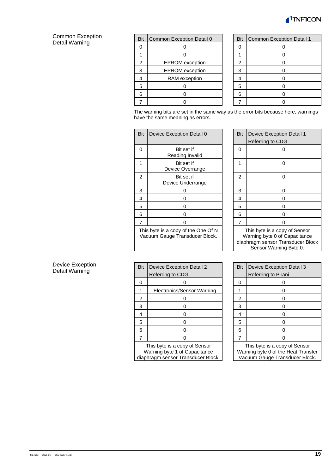

#### Common Exception Detail Warning

| <b>Bit</b>     | Common Exception Detail 0 | Bit            | Common Exception Detail 1 |
|----------------|---------------------------|----------------|---------------------------|
|                |                           |                |                           |
|                |                           |                |                           |
| $\mathfrak{p}$ | <b>EPROM</b> exception    | $\overline{2}$ |                           |
| 3              | <b>EPROM</b> exception    | 3              |                           |
|                | RAM exception             |                |                           |
| 5              |                           | 5              |                           |
| հ              |                           | 6              |                           |
|                |                           |                |                           |

| Bit            | <b>Common Exception Detail 1</b> |
|----------------|----------------------------------|
| 0              | 0                                |
|                | 0                                |
| $\overline{c}$ | 0                                |
| 3              | 0                                |
| 4              | 0                                |
| 5              | 0                                |
| 6              | 0                                |
|                | በ                                |

The warning bits are set in the same way as the error bits because here, warnings have the same meaning as errors.

| Bit                                                                   | Device Exception Detail 0       |  | Bit | <b>Device Exception Detail 1</b><br>Referring to CDG                                                                |
|-----------------------------------------------------------------------|---------------------------------|--|-----|---------------------------------------------------------------------------------------------------------------------|
| 0                                                                     | Bit set if<br>Reading Invalid   |  | 0   |                                                                                                                     |
| 1                                                                     | Bit set if<br>Device Overrange  |  | 1   | ŋ                                                                                                                   |
| 2                                                                     | Bit set if<br>Device Underrange |  | 2   |                                                                                                                     |
| 3                                                                     | O                               |  | 3   | o                                                                                                                   |
| 4                                                                     | ი                               |  | 4   | 0                                                                                                                   |
| 5                                                                     | 0                               |  | 5   | O                                                                                                                   |
| 6                                                                     | O                               |  | 6   |                                                                                                                     |
| 7                                                                     |                                 |  | 7   |                                                                                                                     |
| This byte is a copy of the One Of N<br>Vacuum Gauge Transducer Block. |                                 |  |     | This byte is a copy of Sens<br>Warning byte 0 of Capacitar<br>diaphragm sensor Transducer<br>Sensor Warning Byte 0. |

| Bit                           | <b>Device Exception Detail 1</b><br>Referring to CDG |  |  |  |
|-------------------------------|------------------------------------------------------|--|--|--|
| $\overline{0}$                |                                                      |  |  |  |
| 1                             |                                                      |  |  |  |
| $\overline{c}$                | ი                                                    |  |  |  |
| 3                             | 0                                                    |  |  |  |
| 4                             | 0                                                    |  |  |  |
| 5                             | 0                                                    |  |  |  |
| 6                             | 0                                                    |  |  |  |
| 7                             | U                                                    |  |  |  |
| This byte is a copy of Sensor |                                                      |  |  |  |

Warning byte 0 of Capacitance diaphragm sensor Transducer Block Sensor Warning Byte 0.

| Bit            | Device Exception Detail 3<br>Referring to Pirani |
|----------------|--------------------------------------------------|
| 0              | ი                                                |
|                | ი                                                |
| $\overline{2}$ | ი                                                |
| 3              | ი                                                |
| 4              | 0                                                |
| 5              | ი                                                |
| 6              | ი                                                |
|                |                                                  |
|                |                                                  |

**This byte is a copy of Sensor** Warning byte 0 of the Heat Transfer Vacuum Gauge Transducer Block.

| <b>Device Exception</b> |  |
|-------------------------|--|
| Detail Warning          |  |

| <b>Bit</b> | Device Exception Detail 2     |  | <b>Bit</b> | Device Exceptio     |
|------------|-------------------------------|--|------------|---------------------|
|            | Referring to CDG              |  |            | Referring to Pira   |
| ი          |                               |  | 0          |                     |
|            | Electronics/Sensor Warning    |  |            |                     |
| 2          |                               |  | 2          | 0                   |
| 3          |                               |  | 3          | 0                   |
| 4          |                               |  | 4          | 0                   |
| 5          |                               |  | 5          | O                   |
| 6          |                               |  | 6          | 0                   |
|            |                               |  |            |                     |
|            | This byte is a copy of Sensor |  |            | This byte is a copy |

Warning byte 1 of Capacitance diaphragm sensor Transducer Block.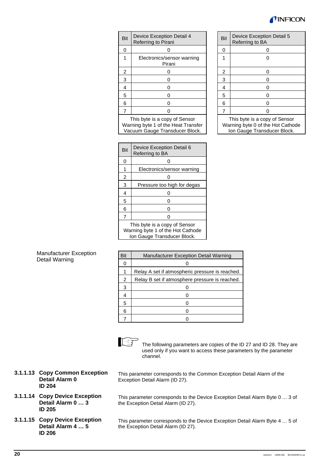# INFICO

| Bit | Device Exception Detail 4<br>Referring to Pirani | Bit | Device Exception Detail 5<br>Referring to BA |
|-----|--------------------------------------------------|-----|----------------------------------------------|
| O   |                                                  | 0   |                                              |
|     | Electronics/sensor warning<br>Pirani             |     |                                              |
| 2   |                                                  | 2   |                                              |
| 3   |                                                  | 3   |                                              |
| 4   |                                                  | 4   |                                              |
| 5   |                                                  | 5   |                                              |
| 6   |                                                  | 6   |                                              |
|     |                                                  |     |                                              |
|     |                                                  |     |                                              |

This byte is a copy of Sensor Warning byte 1 of the Heat Transfer Vacuum Gauge Transducer Block.

| <b>Bit</b>                    | Device Exception Detail 5<br>Referring to BA |  |  |  |
|-------------------------------|----------------------------------------------|--|--|--|
| 0                             | 0                                            |  |  |  |
|                               |                                              |  |  |  |
| $\overline{c}$                | 0                                            |  |  |  |
| 3                             | 0                                            |  |  |  |
| 4                             | 0                                            |  |  |  |
| 5                             | 0                                            |  |  |  |
| 6                             | 0                                            |  |  |  |
| 7                             | ი                                            |  |  |  |
| This buts is a sonu of Canaar |                                              |  |  |  |

 This byte is a copy of Sensor Warning byte 0 of the Hot Cathode Ion Gauge Transducer Block.

| Bit                           | Device Exception Detail 6<br>Referring to BA |  |  |  |
|-------------------------------|----------------------------------------------|--|--|--|
| 0                             |                                              |  |  |  |
|                               | Electronics/sensor warning                   |  |  |  |
| 2                             |                                              |  |  |  |
| 3                             | Pressure too high for degas                  |  |  |  |
| 4                             |                                              |  |  |  |
| 5                             |                                              |  |  |  |
| 6                             |                                              |  |  |  |
| 7                             |                                              |  |  |  |
| This byte is a copy of Sensor |                                              |  |  |  |

Warning byte 1 of the Hot Cathode Ion Gauge Transducer Block.

#### Manufacturer Exception Detail Warning

| Bit | Manufacturer Exception Detail Warning           |
|-----|-------------------------------------------------|
| 0   |                                                 |
| 1   | Relay A set if atmospheric pressure is reached. |
| 2   | Relay B set if atmosphere pressure is reached.  |
| 3   |                                                 |
| 4   |                                                 |
| 5   |                                                 |
| 6   |                                                 |
|     |                                                 |



The following parameters are copies of the ID 27 and ID 28. They are used only if you want to access these parameters by the parameter channel.

- **3.1.1.13 Copy Common Exception Detail Alarm 0 ID 204**
- **3.1.1.14 Copy Device Exception Detail Alarm 0 … 3 ID 205**
- **3.1.1.15 Copy Device Exception Detail Alarm 4 … 5 ID 206**

This parameter corresponds to the Common Exception Detail Alarm of the Exception Detail Alarm (ID 27).

This parameter corresponds to the Device Exception Detail Alarm Byte 0 … 3 of the Exception Detail Alarm (ID 27).

This parameter corresponds to the Device Exception Detail Alarm Byte 4 … 5 of the Exception Detail Alarm (ID 27).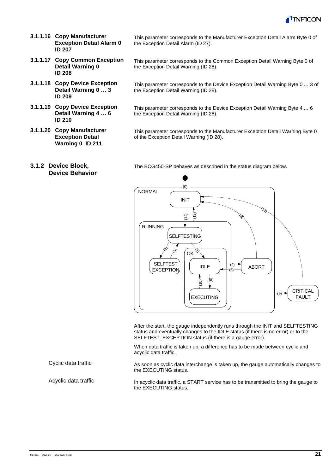

- **3.1.1.16 Copy Manufacturer Exception Detail Alarm 0 ID 207**
- **3.1.1.17 Copy Common Exception Detail Warning 0 ID 208**
- **3.1.1.18 Copy Device Exception Detail Warning 0 … 3 ID 209**
- **3.1.1.19 Copy Device Exception Detail Warning 4 … 6 ID 210**
- **3.1.1.20 Copy Manufacturer Exception Detail Warning 0 ID 211**

This parameter corresponds to the Manufacturer Exception Detail Alarm Byte 0 of the Exception Detail Alarm (ID 27).

- This parameter corresponds to the Common Exception Detail Warning Byte 0 of the Exception Detail Warning (ID 28).
- This parameter corresponds to the Device Exception Detail Warning Byte 0 … 3 of the Exception Detail Warning (ID 28).
- This parameter corresponds to the Device Exception Detail Warning Byte 4 … 6 the Exception Detail Warning (ID 28).

This parameter corresponds to the Manufacturer Exception Detail Warning Byte 0 of the Exception Detail Warning (ID 28).

**3.1.2 Device Block, Device Behavior**

The BCG450-SP behaves as described in the status diagram below.



After the start, the gauge independently runs through the INIT and SELFTESTING status and eventually changes to the IDLE status (if there is no error) or to the SELFTEST\_EXCEPTION status (if there is a gauge error).

When data traffic is taken up, a difference has to be made between cyclic and acyclic data traffic.

As soon as cyclic data interchange is taken up, the gauge automatically changes to the EXECUTING status.

Acyclic data traffic

Cyclic data traffic

In acyclic data traffic, a START service has to be transmitted to bring the gauge to the EXECUTING status.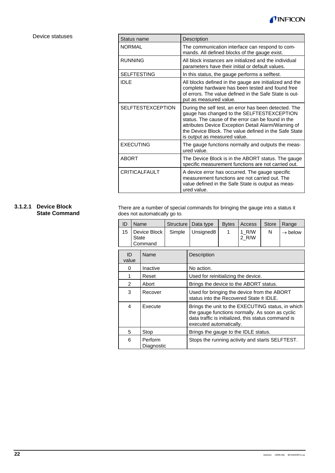

#### Device statuses

| Status name              | Description                                                                                                                                                                                                                                                                                               |
|--------------------------|-----------------------------------------------------------------------------------------------------------------------------------------------------------------------------------------------------------------------------------------------------------------------------------------------------------|
| <b>NORMAL</b>            | The communication interface can respond to com-<br>mands. All defined blocks of the gauge exist.                                                                                                                                                                                                          |
| <b>RUNNING</b>           | All block instances are initialized and the individual<br>parameters have their initial or default values.                                                                                                                                                                                                |
| <b>SELFTESTING</b>       | In this status, the gauge performs a selftest.                                                                                                                                                                                                                                                            |
| <b>IDLE</b>              | All blocks defined in the gauge are initialized and the<br>complete hardware has been tested and found free<br>of errors. The value defined in the Safe State is out-<br>put as measured value.                                                                                                           |
| <b>SELFTESTEXCEPTION</b> | During the self test, an error has been detected. The<br>gauge has changed to the SELFTESTEXCEPTION<br>status. The cause of the error can be found in the<br>attributes Device Exception Detail Alarm/Warning of<br>the Device Block. The value defined in the Safe State<br>is output as measured value. |
| <b>EXECUTING</b>         | The gauge functions normally and outputs the meas-<br>ured value.                                                                                                                                                                                                                                         |
| <b>ABORT</b>             | The Device Block is in the ABORT status. The gauge<br>specific measurement functions are not carried out.                                                                                                                                                                                                 |
| <b>CRITICALFAULT</b>     | A device error has occurred. The gauge specific<br>measurement functions are not carried out. The<br>value defined in the Safe State is output as meas-<br>ured value.                                                                                                                                    |

#### **3.1.2.1 Device Block State Command**

There are a number of special commands for bringing the gauge into a status it does not automatically go to.

| ID          | Name         |                         | Structure | Data type                                                                                                                                                                              | <b>Bytes</b>                                    | Access         | Store | Range               |
|-------------|--------------|-------------------------|-----------|----------------------------------------------------------------------------------------------------------------------------------------------------------------------------------------|-------------------------------------------------|----------------|-------|---------------------|
| 15          | <b>State</b> | Device Block<br>Command | Simple    | Unsigned <sub>8</sub>                                                                                                                                                                  | 1                                               | 1 R/W<br>2 R/W | N     | $\rightarrow$ below |
| ID<br>value |              | Name                    |           | Description                                                                                                                                                                            |                                                 |                |       |                     |
| 0           |              | Inactive                |           | No action.                                                                                                                                                                             |                                                 |                |       |                     |
| 1           |              | Reset                   |           | Used for reinitializing the device.                                                                                                                                                    |                                                 |                |       |                     |
| 2           |              | Abort                   |           | Brings the device to the ABORT status.                                                                                                                                                 |                                                 |                |       |                     |
| 3           |              | Recover                 |           | Used for bringing the device from the ABORT<br>status into the Recovered State ≙ IDLE.                                                                                                 |                                                 |                |       |                     |
| 4           |              | Execute                 |           | Brings the unit to the EXECUTING status, in which<br>the gauge functions normally. As soon as cyclic<br>data traffic is initialized, this status command is<br>executed automatically. |                                                 |                |       |                     |
| 5           |              | Stop                    |           | Brings the gauge to the IDLE status.                                                                                                                                                   |                                                 |                |       |                     |
| 6           |              | Perform<br>Diagnostic   |           |                                                                                                                                                                                        | Stops the running activity and starts SELFTEST. |                |       |                     |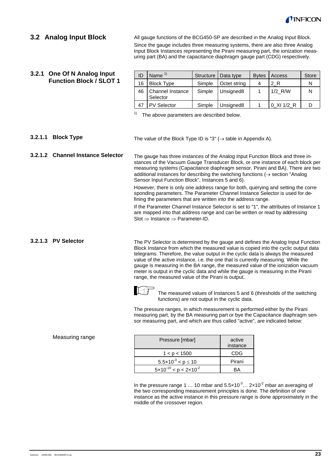

#### **3.2 Analog Input Block**

All gauge functions of the BCG450-SP are described in the Analog Input Block. Since the gauge includes three measuring systems, there are also three Analog Input Block Instances representing the Pirani measuring part, the ionization measuring part (BA) and the capacitance diaphragm gauge part (CDG) respectively.

#### **3.2.1 One Of N Analog Input Function Block / SLOT 1**

| ID | Name $1$                        |        | Structure   Data type | <b>Bytes</b> | Access     | <b>Store</b> |
|----|---------------------------------|--------|-----------------------|--------------|------------|--------------|
| 16 | <b>Block Type</b>               | Simple | Octet string          |              |            |              |
|    | 46 Channel Instance<br>Selector | Simple | Unsigned <sub>8</sub> |              | $1/2$ R/W  | N            |
| 47 | <b>PV Selector</b>              | Simple | Unsigned <sub>8</sub> |              | 0 XI 1/2 R |              |

 $1)$  The above parameters are described below.

#### **3.2.1.1 Block Type**

The value of the Block Type ID is "3" ( $\rightarrow$  table in Appendix A).

The gauge has three instances of the Analog Input Function Block and three instances of the Vacuum Gauge Transducer Block, or one instance of each block per measuring systems (Capacitance diaphragm sensor, Pirani and BA). There are two additional instances for describing the switching functions  $(\rightarrow$  section "Analog Sensor Input Function Block", Instances 5 and 6). **3.2.1.2 Channel Instance Selector**

> However, there is only one address range for both, querying and setting the corresponding parameters. The Parameter Channel Instance Selector is used for defining the parameters that are written into the address range.

If the Parameter Channel Instance Selector is set to "1", the attributes of Instance 1 are mapped into that address range and can be written or read by addressing Slot ⇒ Instance ⇒ Parameter-ID.

#### **3.2.1.3 PV Selector**

The PV Selector is determined by the gauge and defines the Analog Input Function Block Instance from which the measured value is copied into the cyclic output data telegrams. Therefore, the value output in the cyclic data is always the measured value of the active instance, i.e. the one that is currently measuring. While the gauge is measuring in the BA range, the measured value of the ionization vacuum meter is output in the cyclic data and while the gauge is measuring in the Pirani range, the measured value of the Pirani is output.



The measured values of Instances 5 and 6 (thresholds of the switching functions) are not output in the cyclic data.

The pressure ranges, in which measurement is performed either by the Pirani measuring part, by the BA measuring part or bye the Capacitance diaphragm sensor measuring part, and which are thus called "active", are indicated below:

| Pressure [mbar]                            | active<br>instance |
|--------------------------------------------|--------------------|
| 1 < p < 1500                               | <b>CDG</b>         |
| $5.5 \times 10^{-3} < p \le 10$            | Pirani             |
| $5 \times 10^{-10} < p < 2 \times 10^{-2}$ | RΔ                 |

In the pressure range 1 ... 10 mbar and  $5.5 \times 10^{-3}$   $\ldots$  2×10<sup>-2</sup> mbar an averaging of the two corresponding measurement principles is done. The definition of one instance as the active instance in this pressure range is done approximately in the middle of the crossover region.

#### Measuring range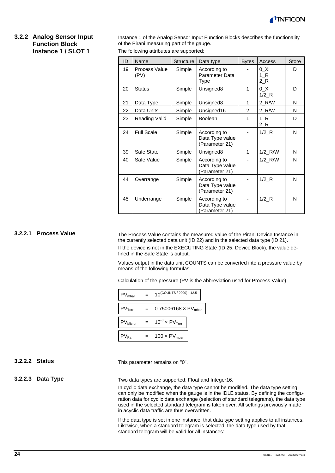

#### **3.2.2 Analog Sensor Input Function Block Instance 1 / SLOT 1**

Instance 1 of the Analog Sensor Input Function Blocks describes the functionality of the Pirani measuring part of the gauge.

The following attributes are supported:

| ID | Name                  | <b>Structure</b> | Data type                                         | <b>Bytes</b> | Access                     | <b>Store</b> |
|----|-----------------------|------------------|---------------------------------------------------|--------------|----------------------------|--------------|
| 19 | Process Value<br>(PV) | Simple           | According to<br>Parameter Data<br>Type            |              | 0 XI<br>1 R<br>2 R         | D            |
| 20 | <b>Status</b>         | Simple           | Unsigned <sub>8</sub>                             | 1            | 0 Xl<br>$1/2$ <sub>R</sub> | D            |
| 21 | Data Type             | Simple           | Unsigned <sub>8</sub>                             | $\mathbf{1}$ | 2 R/W                      | N            |
| 22 | Data Units            | Simple           | Unsigned16                                        | 2            | 2_R/W                      | N            |
| 23 | Reading Valid         | Simple           | Boolean                                           | 1            | $1_R$<br>2_R               | D            |
| 24 | <b>Full Scale</b>     | Simple           | According to<br>Data Type value<br>(Parameter 21) |              | $1/2$ <sub>R</sub>         | N            |
| 39 | Safe State            | Simple           | Unsigned8                                         | $\mathbf{1}$ | 1/2_R/W                    | N            |
| 40 | Safe Value            | Simple           | According to<br>Data Type value<br>(Parameter 21) |              | $1/2$ <sub>_R</sub> /W     | N            |
| 44 | Overrange             | Simple           | According to<br>Data Type value<br>(Parameter 21) |              | $1/2$ R                    | N            |
| 45 | Underrange            | Simple           | According to<br>Data Type value<br>(Parameter 21) |              | $1/2$ <sub>R</sub>         | N            |

#### **3.2.2.1 Process Value**

The Process Value contains the measured value of the Pirani Device Instance in the currently selected data unit (ID 22) and in the selected data type (ID 21). If the device is not in the EXECUTING State (ID 25, Device Block), the value defined in the Safe State is output.

Values output in the data unit COUNTS can be converted into a pressure value by means of the following formulas:

Calculation of the pressure (PV is the abbreviation used for Process Value):

| PV <sub>mbar</sub>   |     | $10^{(COUNTS / 2000) - 12.5}$          |
|----------------------|-----|----------------------------------------|
| $PV$ <sub>Torr</sub> | $=$ | 0.75006168 $\times$ PV <sub>mbar</sub> |
| PV <sub>Micron</sub> | $=$ | $10^{-3} \times PV$ <sub>Torr</sub>    |
| $PV_{Pa}$            | $=$ | $100 \times PV_{\text{mbar}}$          |

#### **3.2.2.2 Status**

This parameter remains on "0".

#### **3.2.2.3 Data Type**

Two data types are supported: Float and Integer16.

In cyclic data exchange, the data type cannot be modified. The data type setting can only be modified when the gauge is in the IDLE status. By defining the configuration data for cyclic data exchange (selection of standard telegrams), the data type used in the selected standard telegram is taken over. All settings previously made in acyclic data traffic are thus overwritten.

If the data type is set in one instance, that data type setting applies to all instances. Likewise, when a standard telegram is selected, the data type used by that standard telegram will be valid for all instances: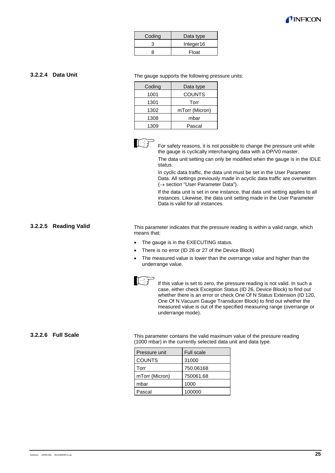

| Coding | Data type |
|--------|-----------|
| З      | Integer16 |
|        | Float     |

#### **3.2.2.4 Data Unit**

The gauge supports the following pressure units:

| Coding | Data type      |
|--------|----------------|
| 1001   | <b>COUNTS</b>  |
| 1301   | Torr           |
| 1302   | mTorr (Micron) |
| 1308   | mbar           |
| 1309   | Pascal         |



For safety reasons, it is not possible to change the pressure unit while the gauge is cyclically interchanging data with a DP/V0 master.

The data unit setting can only be modified when the gauge is in the IDLE status.

In cyclic data traffic, the data unit must be set in the User Parameter Data. All settings previously made in acyclic data traffic are overwritten  $\rightarrow$  section "User Parameter Data").

If the data unit is set in one instance, that data unit setting applies to all instances. Likewise, the data unit setting made in the User Parameter Data is valid for all instances.

#### **3.2.2.5 Reading Valid**

This parameter indicates that the pressure reading is within a valid range, which means that:

- The gauge is in the EXECUTING status.
- There is no error (ID 26 or 27 of the Device Block)
- The measured value is lower than the overrange value and higher than the underrange value.



If this value is set to zero, the pressure reading is not valid. In such a case, either check Exception Status (ID 26, Device Block) to find out whether there is an error or check One Of N Status Extension (ID 120, One Of N Vacuum Gauge Transducer Block) to find out whether the measured value is out of the specified measuring range (overrange or underrange mode).

#### **3.2.2.6 Full Scale**

This parameter contains the valid maximum value of the pressure reading (1000 mbar) in the currently selected data unit and data type.

| Pressure unit  | <b>Full scale</b> |
|----------------|-------------------|
| <b>COUNTS</b>  | 31000             |
| Torr           | 750.06168         |
| mTorr (Micron) | 750061.68         |
| mbar           | 1000              |
| Pascal         | 100000            |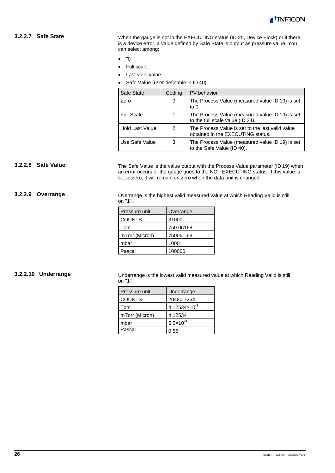

#### **3.2.2.7 Safe State**

When the gauge is not in the EXECUTING status (ID 25, Device Block) or if there is a device error, a value defined by Safe State is output as pressure value. You can select among:

- "0"
- Full scale
- Last valid value
- Safe Value (user-definable in ID 40)

| Safe State        | Coding | PV behavior                                                                           |
|-------------------|--------|---------------------------------------------------------------------------------------|
| Zero              | 0      | The Process Value (measured value ID 19) is set<br>to $0$ .                           |
| <b>Full Scale</b> |        | The Process Value (measured value ID 19) is set<br>to the full scale value (ID 24).   |
| Hold Last Value   | 2      | The Process Value is set to the last valid value<br>obtained in the EXECUTING status. |
| Use Safe Value    | 3      | The Process Value (measured value ID 19) is set<br>to the Safe Value (ID 40).         |

#### **3.2.2.8 Safe Value**

The Safe Value is the value output with the Process Value parameter (ID 19) when an error occurs or the gauge goes to the NOT EXECUTING status. If this value is set to zero, it will remain on zero when the data unit is changed.

#### **3.2.2.9 Overrange**

Overrange is the highest valid measured value at which Reading Valid is still on "1".

| Pressure unit  | Overrange |
|----------------|-----------|
| <b>COUNTS</b>  | 31000     |
| Torr           | 750.06168 |
| mTorr (Micron) | 750061.68 |
| mbar           | 1000      |
| Pascal         | 100000    |

#### **3.2.2.10 Underrange**

Underrange is the lowest valid measured value at which Reading Valid is still on "1".

| Pressure unit  | Underrange                        |  |
|----------------|-----------------------------------|--|
| <b>COUNTS</b>  | 20480.7254                        |  |
| Torr           | 4.12534 $\times$ 10 <sup>-3</sup> |  |
| mTorr (Micron) | 4.12534                           |  |
| mbar           | $5.5 \times 10^{-3}$              |  |
| Pascal         | 0.55                              |  |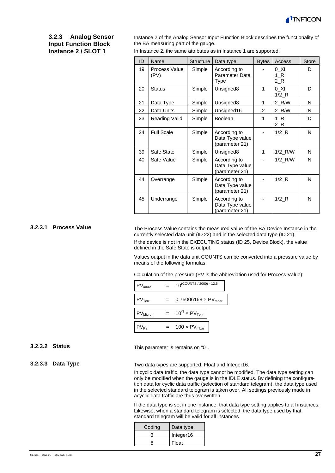

#### **3.2.3 Analog Sensor Input Function Block Instance 2 / SLOT 1**

Instance 2 of the Analog Sensor Input Function Block describes the functionality of the BA measuring part of the gauge.

| ID | Name                  | <b>Structure</b> | Data type                                         | <b>Bytes</b> | Access                     | <b>Store</b> |
|----|-----------------------|------------------|---------------------------------------------------|--------------|----------------------------|--------------|
| 19 | Process Value<br>(PV) | Simple           | According to<br>Parameter Data<br>Type            |              | 0 XI<br>$1_R$<br>$2_R$     | D            |
| 20 | <b>Status</b>         | Simple           | Unsigned8                                         | 1            | 0 XI<br>$1/2$ <sub>R</sub> | D            |
| 21 | Data Type             | Simple           | Unsigned8                                         | 1            | 2_R/W                      | N            |
| 22 | Data Units            | Simple           | Unsigned16                                        | 2            | 2 R/W                      | N            |
| 23 | Reading Valid         | Simple           | <b>Boolean</b>                                    | 1            | 1 R<br>$2_R$               | D            |
| 24 | <b>Full Scale</b>     | Simple           | According to<br>Data Type value<br>(parameter 21) |              | $1/2$ R                    | N            |
| 39 | Safe State            | Simple           | Unsigned8                                         | 1            | $1/2$ <sub>_R</sub> /W     | N            |
| 40 | Safe Value            | Simple           | According to<br>Data Type value<br>(parameter 21) |              | $1/2$ <sub>_R</sub> /W     | N            |
| 44 | Overrange             | Simple           | According to<br>Data Type value<br>(parameter 21) |              | $1/2$ <sub>R</sub>         | N            |
| 45 | Underrange            | Simple           | According to<br>Data Type value<br>(parameter 21) |              | $1/2$ <sub>R</sub>         | N            |

In Instance 2, the same attributes as in Instance 1 are supported:

#### **3.2.3.1 Process Value**

The Process Value contains the measured value of the BA Device Instance in the currently selected data unit (ID 22) and in the selected data type (ID 21). If the device is not in the EXECUTING status (ID 25, Device Block), the value defined in the Safe State is output.

Values output in the data unit COUNTS can be converted into a pressure value by means of the following formulas:

Calculation of the pressure (PV is the abbreviation used for Process Value):

| PV <sub>mbar</sub>    | $10^{(COUNTS / 2000) - 12.5}$          |  |
|-----------------------|----------------------------------------|--|
|                       |                                        |  |
| $PV_{\text{Tor}}$     | 0.75006168 $\times$ PV <sub>mbar</sub> |  |
|                       |                                        |  |
| PV <sub>Micron</sub>  | $10^{-3} \times PV$ <sub>Torr</sub>    |  |
|                       |                                        |  |
| . <sup>&gt;V</sup> Pa | $100 \times PV_{\text{mbar}}$          |  |
|                       |                                        |  |

**3.2.3.2 Status**

**3.2.3.3 Data Type**

This parameter is remains on "0".

Two data types are supported: Float and Integer16.

In cyclic data traffic, the data type cannot be modified. The data type setting can only be modified when the gauge is in the IDLE status. By defining the configuration data for cyclic data traffic (selection of standard telegram), the data type used in the selected standard telegram is taken over. All settings previously made in acyclic data traffic are thus overwritten.

If the data type is set in one instance, that data type setting applies to all instances. Likewise, when a standard telegram is selected, the data type used by that standard telegram will be valid for all instances

| Coding | Data type |
|--------|-----------|
| з      | Integer16 |
| Զ      | Float     |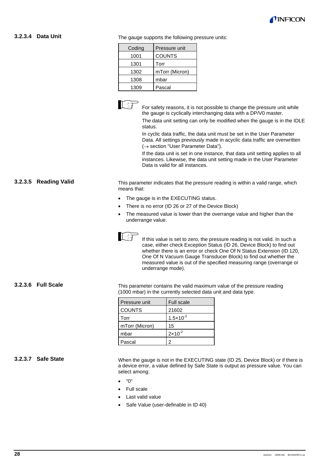

#### **3.2.3.4 Data Unit**

The gauge supports the following pressure units:

| Pressure unit  |
|----------------|
| <b>COUNTS</b>  |
| Torr           |
| mTorr (Micron) |
| mbar           |
| Pascal         |
|                |



For safety reasons, it is not possible to change the pressure unit while the gauge is cyclically interchanging data with a DP/V0 master.

The data unit setting can only be modified when the gauge is in the IDLE status.

In cyclic data traffic, the data unit must be set in the User Parameter Data. All settings previously made in acyclic data traffic are overwritten (→ section "User Parameter Data").

If the data unit is set in one instance, that data unit setting applies to all instances. Likewise, the data unit setting made in the User Parameter Data is valid for all instances.

### **3.2.3.5 Reading Valid**

This parameter indicates that the pressure reading is within a valid range, which means that:

- The gauge is in the EXECUTING status.
- There is no error (ID 26 or 27 of the Device Block)
- The measured value is lower than the overrange value and higher than the underrange value.



If this value is set to zero, the pressure reading is not valid. In such a case, either check Exception Status (ID 26, Device Block) to find out whether there is an error or check One Of N Status Extension (ID 120, One Of N Vacuum Gauge Transducer Block) to find out whether the measured value is out of the specified measuring range (overrange or underrange mode).

#### **3.2.3.6 Full Scale**

This parameter contains the valid maximum value of the pressure reading (1000 mbar) in the currently selected data unit and data type.

| l Pressure unit | <b>Full scale</b>    |
|-----------------|----------------------|
| <b>COUNTS</b>   | 21602                |
| Torr            | $1.5 \times 10^{-2}$ |
| mTorr (Micron)  | 15                   |
| mbar            | $2 \times 10^{-2}$   |
| Pascal          | 2                    |

#### **3.2.3.7 Safe State**

When the gauge is not in the EXECUTING state (ID 25, Device Block) or if there is a device error, a value defined by Safe State is output as pressure value. You can select among:

- "0"
- Full scale
- Last valid value
- Safe Value (user-definable in ID 40)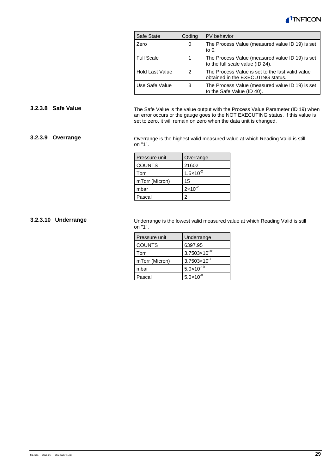

| Safe State             | Coding | PV behavior                                                                           |
|------------------------|--------|---------------------------------------------------------------------------------------|
| Zero                   | 0      | The Process Value (measured value ID 19) is set<br>to 0.                              |
| <b>Full Scale</b>      | 1      | The Process Value (measured value ID 19) is set<br>to the full scale value (ID 24).   |
| <b>Hold Last Value</b> | 2      | The Process Value is set to the last valid value<br>obtained in the EXECUTING status. |
| Use Safe Value         | 3      | The Process Value (measured value ID 19) is set<br>to the Safe Value (ID 40).         |

#### **3.2.3.8 Safe Value**

The Safe Value is the value output with the Process Value Parameter (ID 19) when an error occurs or the gauge goes to the NOT EXECUTING status. If this value is set to zero, it will remain on zero when the data unit is changed.

#### **3.2.3.9 Overrange**

Overrange is the highest valid measured value at which Reading Valid is still on "1".

| Pressure unit  | Overrange            |
|----------------|----------------------|
| <b>COUNTS</b>  | 21602                |
| Torr           | $1.5 \times 10^{-2}$ |
| mTorr (Micron) | 15                   |
| mbar           | $2 \times 10^{-2}$   |
| Pascal         | 2                    |

#### **3.2.3.10 Underrange**

Underrange is the lowest valid measured value at which Reading Valid is still on "1".

| Pressure unit  | Underrange               |
|----------------|--------------------------|
| <b>COUNTS</b>  | 6397.95                  |
| Torr           | $3.7503 \times 10^{-10}$ |
| mTorr (Micron) | $3.7503 \times 10^{-7}$  |
| mbar           | $5.0 \times 10^{-10}$    |
| Pascal         | $5.0 \times 10^{-8}$     |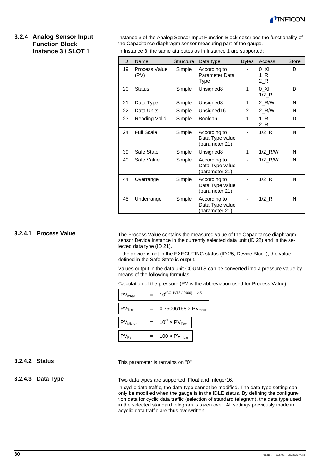

#### **3.2.4 Analog Sensor Input Function Block Instance 3 / SLOT 1**

Instance 3 of the Analog Sensor Input Function Block describes the functionality of the Capacitance diaphragm sensor measuring part of the gauge.

| In Instance 3, the same attributes as in Instance 1 are supported: |  |
|--------------------------------------------------------------------|--|
|--------------------------------------------------------------------|--|

| ID | Name                  | Structure | Data type                                         | <b>Bytes</b> | Access                          | <b>Store</b> |
|----|-----------------------|-----------|---------------------------------------------------|--------------|---------------------------------|--------------|
| 19 | Process Value<br>(PV) | Simple    | According to<br>Parameter Data<br>Type            |              | $0$ _XI<br>1 R<br>$2_R$         | D            |
| 20 | <b>Status</b>         | Simple    | Unsigned8                                         | 1            | 0 XI<br>$1/2$ <sub>R</sub>      | D            |
| 21 | Data Type             | Simple    | Unsigned8                                         | 1            | 2 R/W                           | N            |
| 22 | Data Units            | Simple    | Unsigned16                                        | 2            | 2 R/W                           | N            |
| 23 | Reading Valid         | Simple    | <b>Boolean</b>                                    | 1            | 1 R<br>2 R                      | D            |
| 24 | <b>Full Scale</b>     | Simple    | According to<br>Data Type value<br>(parameter 21) |              | $1/2$ <sub>R</sub>              | N            |
| 39 | Safe State            | Simple    | Unsigned8                                         | 1            | $1/2$ <sub>_R</sub> /W          | N            |
| 40 | Safe Value            | Simple    | According to<br>Data Type value<br>(parameter 21) |              | 1/2 R/W                         | N            |
| 44 | Overrange             | Simple    | According to<br>Data Type value<br>(parameter 21) |              | $1/2$ <sub>R</sub>              | N            |
| 45 | Underrange            | Simple    | According to<br>Data Type value<br>(parameter 21) |              | $1/2$ <sub><math>R</math></sub> | N            |

#### **3.2.4.1 Process Value**

The Process Value contains the measured value of the Capacitance diaphragm sensor Device Instance in the currently selected data unit (ID 22) and in the selected data type (ID 21).

If the device is not in the EXECUTING status (ID 25, Device Block), the value defined in the Safe State is output.

Values output in the data unit COUNTS can be converted into a pressure value by means of the following formulas:

Calculation of the pressure (PV is the abbreviation used for Process Value):

| PV <sub>mbar</sub>   | $10^{(COUNTS / 2000) - 12.5}$          |
|----------------------|----------------------------------------|
| $PV$ <sub>Torr</sub> | 0.75006168 $\times$ PV <sub>mbar</sub> |
|                      |                                        |
| PV <sub>Micron</sub> | $10^{-3}$ x PV <sub>Torr</sub>         |
| $PV_{Pa}$            | 100 $\times$ PV <sub>mbar</sub>        |
|                      |                                        |

#### **3.2.4.2 Status**

This parameter is remains on "0".

#### **3.2.4.3 Data Type**

Two data types are supported: Float and Integer16.

In cyclic data traffic, the data type cannot be modified. The data type setting can only be modified when the gauge is in the IDLE status. By defining the configuration data for cyclic data traffic (selection of standard telegram), the data type used in the selected standard telegram is taken over. All settings previously made in acyclic data traffic are thus overwritten.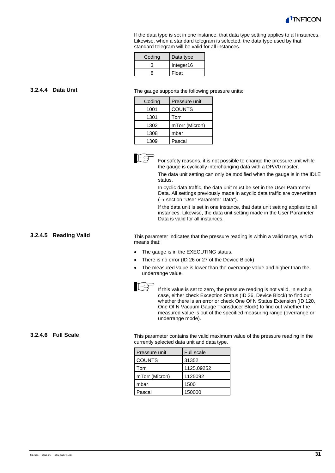

If the data type is set in one instance, that data type setting applies to all instances. Likewise, when a standard telegram is selected, the data type used by that standard telegram will be valid for all instances.

| Codina | Data type |
|--------|-----------|
|        | Integer16 |
|        | Float     |

#### **3.2.4.4 Data Unit**

The gauge supports the following pressure units:

| Coding | Pressure unit  |
|--------|----------------|
| 1001   | <b>COUNTS</b>  |
| 1301   | Torr           |
| 1302   | mTorr (Micron) |
| 1308   | mbar           |
| 1309   | Pascal         |



For safety reasons, it is not possible to change the pressure unit while the gauge is cyclically interchanging data with a DP/V0 master.

The data unit setting can only be modified when the gauge is in the IDLE status.

In cyclic data traffic, the data unit must be set in the User Parameter Data. All settings previously made in acyclic data traffic are overwritten (→ section "User Parameter Data").

If the data unit is set in one instance, that data unit setting applies to all instances. Likewise, the data unit setting made in the User Parameter Data is valid for all instances.

#### **3.2.4.5 Reading Valid**

This parameter indicates that the pressure reading is within a valid range, which means that:

- The gauge is in the EXECUTING status.
- There is no error (ID 26 or 27 of the Device Block)
- The measured value is lower than the overrange value and higher than the underrange value.



If this value is set to zero, the pressure reading is not valid. In such a case, either check Exception Status (ID 26, Device Block) to find out whether there is an error or check One Of N Status Extension (ID 120, One Of N Vacuum Gauge Transducer Block) to find out whether the measured value is out of the specified measuring range (overrange or underrange mode).

**3.2.4.6 Full Scale**

This parameter contains the valid maximum value of the pressure reading in the currently selected data unit and data type.

| Pressure unit  | <b>Full scale</b> |
|----------------|-------------------|
| <b>COUNTS</b>  | 31352             |
| Torr           | 1125.09252        |
| mTorr (Micron) | 1125092           |
| mbar           | 1500              |
| Pascal         | 150000            |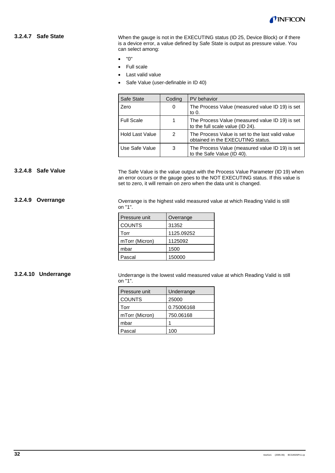

#### **3.2.4.7 Safe State**

When the gauge is not in the EXECUTING status (ID 25, Device Block) or if there is a device error, a value defined by Safe State is output as pressure value. You can select among:

- "0"
- Full scale
- Last valid value
- Safe Value (user-definable in ID 40)

| Safe State             | Coding | PV behavior                                                                           |
|------------------------|--------|---------------------------------------------------------------------------------------|
| Zero                   | 0      | The Process Value (measured value ID 19) is set<br>to $0.$                            |
| <b>Full Scale</b>      |        | The Process Value (measured value ID 19) is set<br>to the full scale value (ID 24).   |
| <b>Hold Last Value</b> | 2      | The Process Value is set to the last valid value<br>obtained in the EXECUTING status. |
| Use Safe Value         | 3      | The Process Value (measured value ID 19) is set<br>to the Safe Value (ID 40).         |

#### **3.2.4.8 Safe Value**

The Safe Value is the value output with the Process Value Parameter (ID 19) when an error occurs or the gauge goes to the NOT EXECUTING status. If this value is set to zero, it will remain on zero when the data unit is changed.

**3.2.4.9 Overrange**

Overrange is the highest valid measured value at which Reading Valid is still on "1".

| Pressure unit  | Overrange  |
|----------------|------------|
| <b>COUNTS</b>  | 31352      |
| Torr           | 1125.09252 |
| mTorr (Micron) | 1125092    |
| mbar           | 1500       |
| Pascal         | 150000     |

#### **3.2.4.10 Underrange**

Underrange is the lowest valid measured value at which Reading Valid is still on "1".

| Pressure unit  | Underrange |
|----------------|------------|
| <b>COUNTS</b>  | 25000      |
| Torr           | 0.75006168 |
| mTorr (Micron) | 750.06168  |
| mbar           |            |
| Pascal         |            |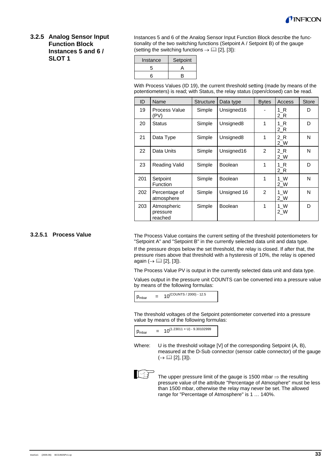

#### **3.2.5 Analog Sensor Input Function Block Instances 5 and 6 / SLOT 1**

Instances 5 and 6 of the Analog Sensor Input Function Block describe the functionality of the two switching functions (Setpoint A / Setpoint B) of the gauge (setting the switching functions  $\rightarrow \Box$  [2], [3]):

| Instance | Setpoint |
|----------|----------|
| 5        |          |
| ี่ค      | R        |

With Process Values (ID 19), the current threshold setting (made by means of the potentiometers) is read; with Status, the relay status (open/closed) can be read.

| ID  | Name                               | <b>Structure</b> | Data type             | <b>Bytes</b>   | Access       | <b>Store</b> |
|-----|------------------------------------|------------------|-----------------------|----------------|--------------|--------------|
| 19  | Process Value<br>(PV)              | Simple           | Unsigned16            |                | 1 R<br>2 R   | D            |
| 20  | <b>Status</b>                      | Simple           | Unsigned <sub>8</sub> | 1              | 1 R<br>2 R   | D            |
| 21  | Data Type                          | Simple           | Unsigned8             | 1              | 2 R<br>$2$ W | N            |
| 22  | Data Units                         | Simple           | Unsigned16            | 2              | 2 R<br>$2$ W | N            |
| 23  | Reading Valid                      | Simple           | <b>Boolean</b>        | 1              | 1 R<br>2 R   | D            |
| 201 | Setpoint<br>Function               | Simple           | <b>Boolean</b>        | 1              | 1 W<br>2 W   | N            |
| 202 | Percentage of<br>atmosphere        | Simple           | Unsigned 16           | $\overline{2}$ | 1 W<br>2 W   | N            |
| 203 | Atmospheric<br>pressure<br>reached | Simple           | <b>Boolean</b>        | 1              | 1 W<br>2 W   | D            |

#### **3.2.5.1 Process Value**

The Process Value contains the current setting of the threshold potentiometers for "Setpoint A" and "Setpoint B" in the currently selected data unit and data type.

If the pressure drops below the set threshold, the relay is closed. If after that, the pressure rises above that threshold with a hysteresis of 10%, the relay is opened again  $(\rightarrow \Box$  [2], [3]).

The Process Value PV is output in the currently selected data unit and data type.

Values output in the pressure unit COUNTS can be converted into a pressure value by means of the following formulas:

 $p_{\text{mbar}} = 10^{(\text{COUNTS}/2000) - 12.5}$ 

The threshold voltages of the Setpoint potentiometer converted into a pressure value by means of the following formulas:

| P <sub>mbar</sub> | $10^{(1.23011 \times U) - 9.30102999}$ |
|-------------------|----------------------------------------|
|-------------------|----------------------------------------|

Where: U is the threshold voltage [V] of the corresponding Setpoint (A, B), measured at the D-Sub connector (sensor cable connector) of the gauge  $(\rightarrow \Box \Box$  [2], [3]).



The upper pressure limit of the gauge is 1500 mbar  $\Rightarrow$  the resulting pressure value of the attribute "Percentage of Atmosphere" must be less than 1500 mbar, otherwise the relay may never be set. The allowed range for "Percentage of Atmosphere" is 1 … 140%.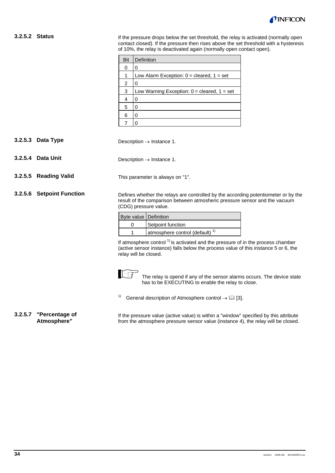

#### **3.2.5.2 Status**

If the pressure drops below the set threshold, the relay is activated (normally open contact closed). If the pressure then rises above the set threshold with a hysteresis of 10%, the relay is deactivated again (normally open contact open).

| Bit | Definition                                      |
|-----|-------------------------------------------------|
| 0   | O                                               |
| 1   | Low Alarm Exception: $0 =$ cleared, $1 =$ set   |
| 2   | Ω                                               |
| 3   | Low Warning Exception: $0 =$ cleared, $1 =$ set |
| 4   | 0                                               |
| 5   | Ω                                               |
| 6   | Ω                                               |
|     |                                                 |

- Description  $\rightarrow$  Instance 1. **3.2.5.3 Data Type**
- Description  $\rightarrow$  Instance 1. **3.2.5.4 Data Unit**
- **3.2.5.5 Reading Valid**
- **3.2.5.6 Setpoint Function**

Defines whether the relays are controlled by the according potentiometer or by the result of the comparison between atmosheric pressure sensor and the vacuum (CDG) pressure value.

| Byte value   Definition |                                            |
|-------------------------|--------------------------------------------|
|                         | Setpoint function                          |
|                         | atmosphere control (default) <sup>1)</sup> |

This parameter is always on "1".

If atmosphere control<sup>1)</sup> is activated and the pressure of in the process chamber (active sensor instance) falls below the process value of this instance 5 or 6, the relay will be closed.



The relay is opend if any of the sensor alarms occurs. The device state has to be EXECUTING to enable the relay to close.

<sup>1)</sup> General description of Atmosphere control  $\rightarrow$  [1] [3].

**3.2.5.7 "Percentage of Atmosphere"**

If the pressure value (active value) is within a "window" specified by this attribute from the atmosphere pressure sensor value (instance 4), the relay will be closed.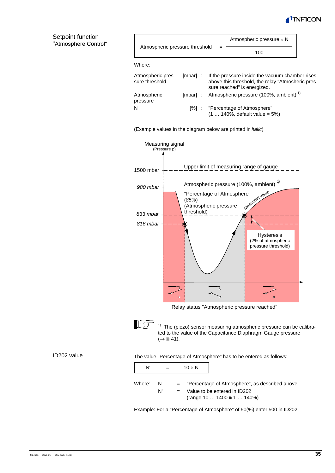

#### Setpoint function "Atmosphere Control"

| Atmospheric pressure threshold      |                                                                                                                                              |
|-------------------------------------|----------------------------------------------------------------------------------------------------------------------------------------------|
|                                     | 100                                                                                                                                          |
| Where:                              |                                                                                                                                              |
| Atmospheric pres-<br>sure threshold | [mbar] : If the pressure inside the vacuum chamber rises<br>above this threshold, the relay "Atmosheric pres-<br>sure reached" is energized. |
| Atmospheric<br>pressure             | [mbar] : Atmospheric pressure (100%, ambient) <sup>1)</sup>                                                                                  |
| N                                   | [%] : "Percentage of Atmosphere"<br>$(1  140\% ,$ default value = 5%)                                                                        |

Atmospheric pressure  $\times$  N

(Example values in the diagram below are printed in *italic*)



Relay status "Atmospheric pressure reached"

lie

 $\mathsf{r}$ 

 $1)$  The (piezo) sensor measuring atmospheric pressure can be calibrated to the value of the Capacitance Diaphragm Gauge pressure  $(\rightarrow \Box$  41).

#### ID202 value

The value "Percentage of Atmosphere" has to be entered as follows:

| N'     |          |         | $10 \times N$ |                                                                                                                             |
|--------|----------|---------|---------------|-----------------------------------------------------------------------------------------------------------------------------|
| Where: | -N<br>N' | $=$ $-$ |               | = "Percentage of Atmosphere", as described above<br>Value to be entered in ID202<br>(range 10 $1400 \triangleq 1$ $140\%$ ) |

Example: For a "Percentage of Atmosphere" of 50(%) enter 500 in ID202.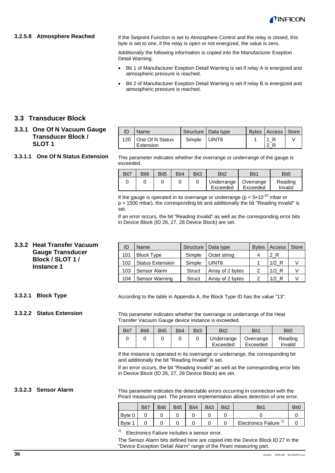

#### **3.2.5.8 Atmosphere Reached**

If the Setpoint Function is set to Atmosphere Control and the relay is closed, this byte is set to one, if the relay is open or not energized, the value is zero.

Additionally the following information is copied into the Manufacturer Exeption Detail Warning:

- Bit 1 of Manufacturer Exeption Detail Warning is set if relay A is energized and atmospheric pressure is reached.
- Bit 2 of Manufacturer Exeption Detail Warning is set if relay B is energized and atmospheric pressure is reached.

#### **3.3 Transducer Block**

#### **3.3.1 One Of N Vacuum Gauge Transducer Block / SLOT 1**

#### **3.3.1.1 One Of N Status Extension**

| ID | Name                               |              | Structure   Data type | Bytes   Access   Store |  |
|----|------------------------------------|--------------|-----------------------|------------------------|--|
|    | 120   One Of N Status<br>Extension | Simple UINT8 |                       |                        |  |

This parameter indicates whether the overrange or underrange of the gauge is exceeded.

| Bit7 | Bit <sub>6</sub> | Bit <sub>5</sub> | Bit4 | Bit <sub>3</sub> | Bit2                   | Bit1                  | Bit <sub>0</sub>   |
|------|------------------|------------------|------|------------------|------------------------|-----------------------|--------------------|
|      |                  |                  |      |                  | Underrange<br>Exceeded | Overrange<br>Exceeded | Reading<br>Invalid |

If the gauge is operated in its overrange or underrange ( $p < 5 \times 10^{-10}$  mbar or p > 1500 mbar), the corresponding bit and additionally the bit "Reading Invalid" is set.

If an error occurs, the bit "Reading Invalid" as well as the corresponding error bits in Device Block (ID 26, 27, 28 Device Block) are set.

### **3.3.2 Heat Transfer Vacuum Gauge Transducer Block / SLOT 1 / Instance 1**

| ID  | Name                    |        | Structure   Data type | <b>Bytes</b> | Access  | Store |
|-----|-------------------------|--------|-----------------------|--------------|---------|-------|
| 101 | <b>Block Type</b>       | Simple | Octet string          | 4            | 2 R     |       |
| 102 | <b>Status Extension</b> | Simple | UINT8                 |              | $1/2$ R |       |
| 103 | Sensor Alarm            | Struct | Array of 2 bytes      | 2            | $1/2$ R |       |
| 104 | Sensor Warning          | Struct | Array of 2 bytes      | っ            | $1/2$ R |       |

According to the table in Appendix A, the Block Type ID has the value "13".

**3.3.2.2 Status Extension**

**3.3.2.1 Block Type**

This parameter indicates whether the overrange or underrange of the Heat Transfer Vacuum Gauge device instance is exceeded.

| Bit7 | Bit <sub>6</sub> | Bit <sub>5</sub> | Bit4 | Bit3 | Bit <sub>2</sub>       | Bit1                  | Bit <sub>0</sub>   |
|------|------------------|------------------|------|------|------------------------|-----------------------|--------------------|
|      |                  |                  |      |      | Underrange<br>Exceeded | Overrange<br>Exceeded | Reading<br>Invalid |

If the instance is operated in its overrange or underrange, the corresponding bit and additionally the bit "Reading Invalid" is set.

If an error occurs, the bit "Reading Invalid" as well as the corresponding error bits in Device Block (ID 26, 27, 28 Device Block) are set.

**3.3.2.3 Sensor Alarm**

This parameter indicates the detectable errors occurring in connection with the Pirani measuring part. The present implementation allows detection of one error.

|        | Bit7 | Bit <sub>6</sub> | Bit <sub>5</sub> | Bit4 | Bit <sub>3</sub> | Bit <sub>2</sub> | Rit <sup>4</sup>           |  |
|--------|------|------------------|------------------|------|------------------|------------------|----------------------------|--|
| Byte 0 |      |                  |                  |      |                  |                  |                            |  |
| Byte 1 |      |                  |                  |      |                  |                  | <b>Electronics Failure</b> |  |

Electronics Failure includes a sensor error.

The Sensor Alarm bits defined here are copied into the Device Block ID 27 in the "Device Exception Detail Alarm" range of the Pirani measuring part.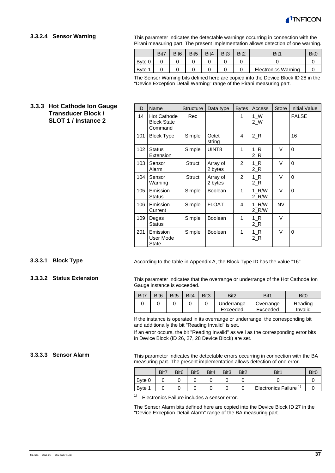

#### **3.3.2.4 Sensor Warning**

This parameter indicates the detectable warnings occurring in connection with the Pirani measuring part. The present implementation allows detection of one warning.

|              | Bit7 | Bit <sub>6</sub> | Bit <sub>5</sub> | Bit4 | Bit <sub>3</sub> | Bit <sub>2</sub> | Bit1                       |  |
|--------------|------|------------------|------------------|------|------------------|------------------|----------------------------|--|
| Byte 0       |      |                  |                  |      |                  |                  |                            |  |
| <b>B</b> vte |      |                  |                  |      |                  |                  | <b>Electronics Warning</b> |  |

The Sensor Warning bits defined here are copied into the Device Block ID 28 in the "Device Exception Detail Warning" range of the Pirani measuring part.

#### **3.3.3 Hot Cathode Ion Gauge Transducer Block / SLOT 1 / Instance 2**

| ID  | Name                                         | <b>Structure</b> | Data type           | <b>Bytes</b>   | Access                   | <b>Store</b> | <b>Initial Value</b> |
|-----|----------------------------------------------|------------------|---------------------|----------------|--------------------------|--------------|----------------------|
| 14  | Hot Cathode<br><b>Block State</b><br>Command | Rec              |                     | 1              | $1 \, \text{W}$<br>$2$ W |              | <b>FALSE</b>         |
| 101 | <b>Block Type</b>                            | Simple           | Octet<br>string     | 4              | $2_R$                    |              | 16                   |
| 102 | <b>Status</b><br>Extension                   | Simple           | UINT8               | 1              | $1_R$<br>$2_R$           | V            | $\Omega$             |
| 103 | Sensor<br>Alarm                              | <b>Struct</b>    | Array of<br>2 bytes | $\overline{2}$ | $1_R$<br>$2_R$           | V            | $\Omega$             |
| 104 | Sensor<br>Warning                            | <b>Struct</b>    | Array of<br>2 bytes | $\overline{2}$ | 1 R<br>$2_R$             | V            | $\Omega$             |
| 105 | Emission<br>Status                           | Simple           | <b>Boolean</b>      | 1              | 1 R/W<br>2 R/W           | V            | $\Omega$             |
| 106 | Emission<br>Current                          | Simple           | <b>FLOAT</b>        | 4              | 1 R/W<br>2 R/W           | <b>NV</b>    |                      |
| 109 | Degas<br><b>Status</b>                       | Simple           | <b>Boolean</b>      | 1              | $1_R$<br>$2_R$           | V            |                      |
| 201 | Emission<br>User Mode<br>State               | Simple           | <b>Boolean</b>      | 1              | $1_R$<br>$2_R$           | V            | $\Omega$             |

#### **3.3.3.1 Block Type**

#### **3.3.3.2 Status Extension**

According to the table in Appendix A, the Block Type ID has the value "16".

This parameter indicates that the overrange or underrange of the Hot Cathode Ion Gauge instance is exceeded.

| Bit7 | Bit <sub>6</sub> | Bit <sub>5</sub> | Bit4 | Bit <sub>3</sub> | Bit <sub>2</sub>       | Bit1                  | Bit <sub>0</sub>   |
|------|------------------|------------------|------|------------------|------------------------|-----------------------|--------------------|
|      |                  |                  |      |                  | Underrange<br>Exceeded | Overrange<br>Exceeded | Reading<br>Invalid |

If the instance is operated in its overrange or underrange, the corresponding bit and additionally the bit "Reading Invalid" is set.

If an error occurs, the bit "Reading Invalid" as well as the corresponding error bits in Device Block (ID 26, 27, 28 Device Block) are set.

#### **3.3.3.3 Sensor Alarm**

This parameter indicates the detectable errors occurring in connection with the BA measuring part. The present implementation allows detection of one error.

|              | Bit7 | Bit <sub>6</sub> | Bit <sub>5</sub> | Bit4 | Bit <sub>3</sub> | Bit <sub>2</sub> | Bit <sup>1</sup>           | Bit <sub>C</sub> |
|--------------|------|------------------|------------------|------|------------------|------------------|----------------------------|------------------|
| Byte 0       |      |                  |                  |      |                  |                  |                            |                  |
| <b>B</b> vte |      |                  |                  |      |                  |                  | <b>Electronics Failure</b> |                  |

<sup>1)</sup> Electronics Failure includes a sensor error.

The Sensor Alarm bits defined here are copied into the Device Block ID 27 in the "Device Exception Detail Alarm" range of the BA measuring part.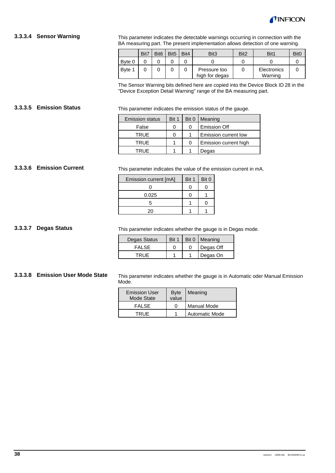

#### **3.3.3.4 Sensor Warning**

This parameter indicates the detectable warnings occurring in connection with the BA measuring part. The present implementation allows detection of one warning.

|        | Bit7 | Bit <sub>6</sub> | Bit <sub>5</sub> | Bit4 | Bit <sub>3</sub>               | Bit <sub>2</sub> | Bit1                   | Bit0 |
|--------|------|------------------|------------------|------|--------------------------------|------------------|------------------------|------|
| Byte 0 |      |                  |                  |      |                                |                  |                        |      |
| Byte 1 |      |                  |                  |      | Pressure too<br>high for degas |                  | Electronics<br>Warning |      |

The Sensor Warning bits defined here are copied into the Device Block ID 28 in the "Device Exception Detail Warning" range of the BA measuring part.

This parameter indicates the emission status of the gauge. **3.3.3.5 Emission Status**

| <b>Emission status</b> | Bit 1 | Bit 0 | Meaning               |
|------------------------|-------|-------|-----------------------|
| False                  |       |       | <b>Emission Off</b>   |
| <b>TRUE</b>            |       |       | Emission current low  |
| TRUE                   |       |       | Emission current high |
| TRUE                   |       |       | Degas                 |

#### **3.3.3.6 Emission Current**

This parameter indicates the value of the emission current in mA.

| Emission current [mA] | Bit 1 | Bit 0 |
|-----------------------|-------|-------|
|                       |       |       |
| 0.025                 |       |       |
| 5                     |       |       |
| 20                    |       |       |

**3.3.3.7 Degas Status**

This parameter indicates whether the gauge is in Degas mode.

| Degas Status | Bit 1 | Bit 0   Meaning |
|--------------|-------|-----------------|
| <b>FALSE</b> |       | Degas Off       |
|              |       | Degas On        |

#### **3.3.3.8 Emission User Mode State**

This parameter indicates whether the gauge is in Automatic oder Manual Emission Mode.

| <b>Emission User</b><br>Mode State | <b>Byte</b><br>value | Meaning               |
|------------------------------------|----------------------|-----------------------|
| FALSE.                             | 0                    | Manual Mode           |
| TRUE                               |                      | <b>Automatic Mode</b> |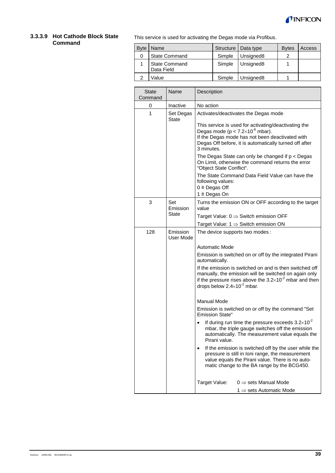

#### **3.3.3.9 Hot Cathode Block State Command**

This service is used for activating the Degas mode via Profibus.

| <b>B</b> vte | Name                               |        | Structure   Data type | <b>B</b> ytes | Access |
|--------------|------------------------------------|--------|-----------------------|---------------|--------|
| 0            | <b>State Command</b>               | Simple | Unsigned <sub>8</sub> | າ             |        |
|              | <b>State Command</b><br>Data Field | Simple | Unsigned <sub>8</sub> |               |        |
| っ            | Value                              | Simple | Unsigned <sub>8</sub> |               |        |

| State<br>Command | Name                  | Description                                                                                                                                                                                                                      |  |  |  |  |
|------------------|-----------------------|----------------------------------------------------------------------------------------------------------------------------------------------------------------------------------------------------------------------------------|--|--|--|--|
| 0                | Inactive              | No action                                                                                                                                                                                                                        |  |  |  |  |
| 1                | Set Degas<br>State    | Activates/deactivates the Degas mode                                                                                                                                                                                             |  |  |  |  |
|                  |                       | This service is used for activating/deactivating the<br>Degas mode ( $p < 7.2 \times 10^{-6}$ mbar).<br>If the Degas mode has not been deactivated with<br>Degas Off before, it is automatically turned off after<br>3 minutes.  |  |  |  |  |
|                  |                       | The Degas State can only be changed if $p <$ Degas<br>On Limit, otherwise the command returns the error<br>"Object State Conflict".                                                                                              |  |  |  |  |
|                  |                       | The State Command Data Field Value can have the<br>following values:<br>$0 \triangleq$ Degas Off<br>1 ≙ Degas On                                                                                                                 |  |  |  |  |
| 3                | Set                   | Turns the emission ON or OFF according to the target                                                                                                                                                                             |  |  |  |  |
|                  | Emission              | value                                                                                                                                                                                                                            |  |  |  |  |
|                  | State                 | Target Value: $0 \Rightarrow$ Switch emission OFF                                                                                                                                                                                |  |  |  |  |
|                  |                       | Target Value: $1 \Rightarrow$ Switch emission ON                                                                                                                                                                                 |  |  |  |  |
| 128              | Emission<br>User Mode | The device supports two modes :                                                                                                                                                                                                  |  |  |  |  |
|                  |                       | <b>Automatic Mode</b>                                                                                                                                                                                                            |  |  |  |  |
|                  |                       | Emission is switched on or off by the integrated Pirani<br>automatically.                                                                                                                                                        |  |  |  |  |
|                  |                       | If the emission is switched on and is then switched off<br>manually, the emission will be switched on again only<br>if the pressure rises above the $3.2 \times 10^{-2}$ mbar and then<br>drops below $2.4 \times 10^{-2}$ mbar. |  |  |  |  |
|                  |                       | <b>Manual Mode</b>                                                                                                                                                                                                               |  |  |  |  |
|                  |                       | Emission is switched on or off by the command "Set<br><b>Emission State"</b>                                                                                                                                                     |  |  |  |  |
|                  |                       | If during run time the pressure exceeds $3.2 \times 10^{-2}$<br>mbar, the triple gauge switches off the emission<br>automatically. The measurement value equals the<br>Pirani value.                                             |  |  |  |  |
|                  |                       | If the emission is switched off by the user while the<br>pressure is still in Ioni range, the measurement<br>value equals the Pirani value. There is no auto-<br>matic change to the BA range by the BCG450.                     |  |  |  |  |
|                  |                       | Target Value:<br>$0 \Rightarrow$ sets Manual Mode<br>1 $\Rightarrow$ sets Automatic Mode                                                                                                                                         |  |  |  |  |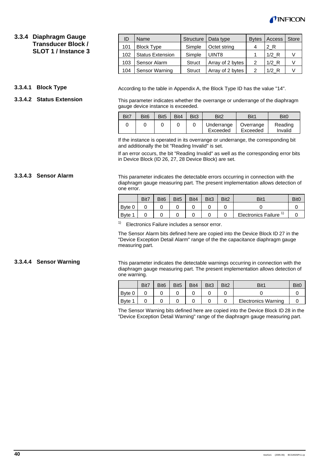

# **3.3.4 Diaphragm Gauge Transducer Block / SLOT 1 / Instance 3**

#### **3.3.4.1 Block Type**

**3.3.4.3 Sensor Alarm**

#### **3.3.4.2 Status Extension**

| ID  | Name                    | Structure     | Data type        | <b>Bytes</b> | Access  | <b>Store</b> |
|-----|-------------------------|---------------|------------------|--------------|---------|--------------|
| 101 | <b>Block Type</b>       | Simple        | Octet string     | 4            | 2 R     |              |
| 102 | <b>Status Extension</b> | Simple        | UINT8            |              | $1/2$ R |              |
| 103 | Sensor Alarm            | Struct        | Array of 2 bytes | 2            | $1/2$ R |              |
| 104 | Sensor Warning          | <b>Struct</b> | Array of 2 bytes | າ            | $1/2$ R |              |

According to the table in Appendix A, the Block Type ID has the value "14".

This parameter indicates whether the overrange or underrange of the diaphragm gauge device instance is exceeded.

| Bit7 | Bit <sub>6</sub> | Bit <sub>5</sub> | Bit4 | Bit <sub>3</sub> | Bit <sub>2</sub>       | Bit1                  | Bit <sub>0</sub>   |
|------|------------------|------------------|------|------------------|------------------------|-----------------------|--------------------|
|      |                  |                  |      |                  | Underrange<br>Exceeded | Overrange<br>Exceeded | Reading<br>Invalid |

If the instance is operated in its overrange or underrange, the corresponding bit and additionally the bit "Reading Invalid" is set.

If an error occurs, the bit "Reading Invalid" as well as the corresponding error bits in Device Block (ID 26, 27, 28 Device Block) are set.

This parameter indicates the detectable errors occurring in connection with the diaphragm gauge measuring part. The present implementation allows detection of one error.

|                   | Bit7 | Bit <sub>6</sub> | Bit <sub>5</sub> | Bit4 | Bit <sub>3</sub> | Bit <sub>2</sub> | Bit1                       | Bit( |
|-------------------|------|------------------|------------------|------|------------------|------------------|----------------------------|------|
| Byte 0            |      |                  |                  |      |                  |                  |                            |      |
| Byte <sup>1</sup> |      |                  |                  |      |                  |                  | <b>Electronics Failure</b> |      |

 $1)$  Electronics Failure includes a sensor error.

The Sensor Alarm bits defined here are copied into the Device Block ID 27 in the "Device Exception Detail Alarm" range of the the capacitance diaphragm gauge measuring part.

#### **3.3.4.4 Sensor Warning**

This parameter indicates the detectable warnings occurring in connection with the diaphragm gauge measuring part. The present implementation allows detection of one warning.

|        | Bit7 | Bit <sub>6</sub> | Bit <sub>5</sub> | Bit4 | Bit <sub>3</sub> | Bit <sub>2</sub> | Bit1                       | Bit <sub>C</sub> |
|--------|------|------------------|------------------|------|------------------|------------------|----------------------------|------------------|
| Byte 0 |      |                  |                  |      |                  |                  |                            |                  |
| Byte 1 |      |                  |                  |      |                  |                  | <b>Electronics Warning</b> |                  |

The Sensor Warning bits defined here are copied into the Device Block ID 28 in the "Device Exception Detail Warning" range of the diaphragm gauge measuring part.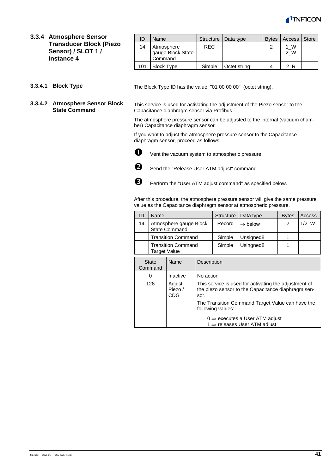

**3.3.4 Atmosphere Sensor Transducer Block (Piezo Sensor) / SLOT 1 / Instance 4**

| ID  | Name                                       |            | Structure   Data type | <b>B</b> ytes | <b>Access</b> | <b>Store</b> |
|-----|--------------------------------------------|------------|-----------------------|---------------|---------------|--------------|
| 14  | Atmosphere<br>gauge Block State<br>Command | <b>REC</b> |                       | 2             | 1 W<br>2 W    |              |
| 101 | <b>Block Type</b>                          | Simple     | Octet string          |               | 2 R           |              |

**3.3.4.1 Block Type**

#### **3.3.4.2 Atmosphere Sensor Block State Command**

The Block Type ID has the value: "01 00 00 00" (octet string).

This service is used for activating the adjustment of the Piezo sensor to the Capacitance diaphragm sensor via Profibus.

The atmosphere pressure sensor can be adjusted to the internal (vacuum chamber) Capacitance diaphragm sensor.

If you want to adjust the atmosphere pressure sensor to the Capacitance diaphragm sensor, proceed as follows:



 $\bullet$  Vent the vacuum system to atmospheric pressure



Send the "Release User ATM adjust" command



**B** Perform the "User ATM adjust command" as specified below.

After this procedure, the atmosphere pressure sensor will give the same pressure value as the Capacitance diaphragm sensor at atmospheric pressure.

|    | Name                                           |        | Structure   Data type | <b>B</b> ytes | Access  |
|----|------------------------------------------------|--------|-----------------------|---------------|---------|
| 14 | Atmosphere gauge Block<br><b>State Command</b> | Record | $\rightarrow$ below   | 2             | $1/2$ W |
|    | <b>Transition Command</b>                      | Simple | Unsigned <sub>8</sub> |               |         |
|    | <b>Transition Command</b><br>Target Value      | Simple | Usingned <sub>8</sub> |               |         |

| <b>State</b><br>Command | Name                            | Description                                                                                                                                                                                  |
|-------------------------|---------------------------------|----------------------------------------------------------------------------------------------------------------------------------------------------------------------------------------------|
| 0                       | Inactive                        | No action                                                                                                                                                                                    |
| 128                     | Adjust<br>Piezo /<br><b>CDG</b> | This service is used for activating the adjustment of<br>the piezo sensor to the Capacitance diaphragm sen-<br>sor.<br>The Transition Command Target Value can have the<br>following values: |
|                         |                                 | $0 \Rightarrow$ executes a User ATM adjust<br>1 $\Rightarrow$ releases User ATM adjust                                                                                                       |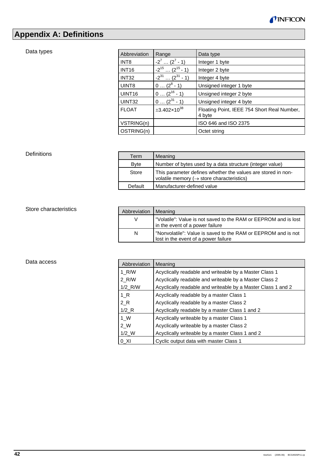

# **Appendix A: Definitions**

# Data types

| Abbreviation       | Range                           | Data type                                             |
|--------------------|---------------------------------|-------------------------------------------------------|
| INT <sub>8</sub>   | $-2^7$ $(2^7 - 1)$              | Integer 1 byte                                        |
| <b>INT16</b>       | $-2^{15}$ (2 <sup>15</sup> - 1) | Integer 2 byte                                        |
| INT <sub>32</sub>  | $-2^{31}$ $(2^{31} - 1)$        | Integer 4 byte                                        |
| UINT8              | $0 (2^8 - 1)$                   | Unsigned integer 1 byte                               |
| UINT <sub>16</sub> | $0 (2^{16} - 1)$                | Unsigned integer 2 byte                               |
| UINT32             | $0 (2^{31} - 1)$                | Unsigned integer 4 byte                               |
| <b>FLOAT</b>       | $\pm 3.402 \times 10^{38}$      | Floating Point, IEEE 754 Short Real Number,<br>4 byte |
| VSTRING(n)         |                                 | ISO 646 and ISO 2375                                  |
| OSTRING(n)         |                                 | Octet string                                          |

#### Definitions

| Term        | Meaning                                                                                                                |
|-------------|------------------------------------------------------------------------------------------------------------------------|
| <b>Byte</b> | Number of bytes used by a data structure (integer value)                                                               |
| Store       | This parameter defines whether the values are stored in non-<br>volatile memory ( $\rightarrow$ store characteristics) |
| Default     | Manufacturer-defined value                                                                                             |

### Store characteristics

| Abbreviation | Meaning                                                                                               |
|--------------|-------------------------------------------------------------------------------------------------------|
| V            | "Volatile": Value is not saved to the RAM or EEPROM and is lost<br>in the event of a power failure    |
| N            | "Nonvolatile": Value is saved to the RAM or EEPROM and is not<br>lost in the event of a power failure |

#### Data access

| Abbreviation          | Meaning                                                      |
|-----------------------|--------------------------------------------------------------|
| 1 R/W                 | Acyclically readable and writeable by a Master Class 1       |
| 2 R/W                 | Acyclically readable and writeable by a Master Class 2       |
| $1/2$ <sub>R</sub> /W | Acyclically readable and writeable by a Master Class 1 and 2 |
| 1 R                   | Acyclically readable by a master Class 1                     |
| 2 R                   | Acyclically readable by a master Class 2                     |
| $1/2$ <sub>R</sub>    | Acyclically readable by a master Class 1 and 2               |
| $1 \, W$              | Acyclically writeable by a master Class 1                    |
| 2 W                   | Acyclically writeable by a master Class 2                    |
| $1/2$ W               | Acyclically writeable by a master Class 1 and 2              |
| 0 XI                  | Cyclic output data with master Class 1                       |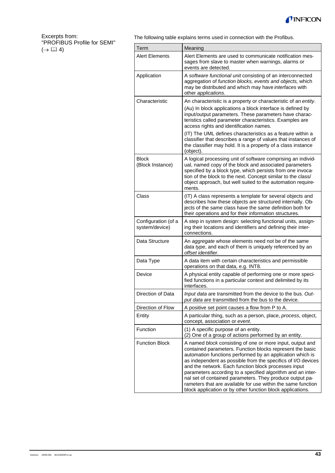

#### Excerpts from: "PROFIBUS Profile for SEMI"  $(\rightarrow \Box \Box 4)$

The following table explains terms used in connection with the Profibus.

| Term                                  | Meaning                                                                                                                                                                                                                                                                                                                                                                                                                                                                                                                                                              |
|---------------------------------------|----------------------------------------------------------------------------------------------------------------------------------------------------------------------------------------------------------------------------------------------------------------------------------------------------------------------------------------------------------------------------------------------------------------------------------------------------------------------------------------------------------------------------------------------------------------------|
| <b>Alert Elements</b>                 | Alert Elements are used to communicate notification mes-<br>sages from slave to master when warnings, alarms or<br>events are detected.                                                                                                                                                                                                                                                                                                                                                                                                                              |
| Application                           | A software functional unit consisting of an interconnected<br>aggregation of function blocks, events and objects, which<br>may be distributed and which may have interfaces with<br>other applications.                                                                                                                                                                                                                                                                                                                                                              |
| Characteristic                        | An characteristic is a property or characteristic of an entity.                                                                                                                                                                                                                                                                                                                                                                                                                                                                                                      |
|                                       | (Au) In block applications a block interface is defined by<br>input/output parameters. These parameters have charac-<br>teristics called parameter characteristics. Examples are<br>access rights and identification names.                                                                                                                                                                                                                                                                                                                                          |
|                                       | (IT) The UML defines characteristics as a feature within a<br>classifier that describes a range of values that instances of<br>the classifier may hold. It is a property of a class instance<br>(object).                                                                                                                                                                                                                                                                                                                                                            |
| <b>Block</b><br>(Block Instance)      | A logical processing unit of software comprising an individ-<br>ual, named copy of the block and associated parameters<br>specified by a block type, which persists from one invoca-<br>tion of the block to the next. Concept similar to the class/<br>object approach, but well suited to the automation require-<br>ments.                                                                                                                                                                                                                                        |
| Class                                 | (IT) A class represents a template for several objects and<br>describes how these objects are structured internally. Ob-<br>jects of the same class have the same definition both for<br>their operations and for their information structures.                                                                                                                                                                                                                                                                                                                      |
| Configuration (of a<br>system/device) | A step in system design: selecting functional units, assign-<br>ing their locations and identifiers and defining their inter-<br>connections.                                                                                                                                                                                                                                                                                                                                                                                                                        |
| Data Structure                        | An aggregate whose elements need not be of the same<br>data type, and each of them is uniquely referenced by an<br>offset identifier.                                                                                                                                                                                                                                                                                                                                                                                                                                |
| Data Type                             | A data item with certain characteristics and permissible<br>operations on that data, e.g. INT8.                                                                                                                                                                                                                                                                                                                                                                                                                                                                      |
| Device                                | A physical entity capable of performing one or more speci-<br>fied functions in a particular context and delimited by its<br>interfaces.                                                                                                                                                                                                                                                                                                                                                                                                                             |
| Direction of Data                     | Input data are transmitted from the device to the bus. Out-<br>put data are transmitted from the bus to the device.                                                                                                                                                                                                                                                                                                                                                                                                                                                  |
| Direction of Flow                     | A positive set point causes a flow from P to A.                                                                                                                                                                                                                                                                                                                                                                                                                                                                                                                      |
| Entity                                | A particular thing, such as a person, place, process, object,<br>concept, association or event.                                                                                                                                                                                                                                                                                                                                                                                                                                                                      |
| Function                              | (1) A specific purpose of an entity.<br>(2) One of a group of actions performed by an entity.                                                                                                                                                                                                                                                                                                                                                                                                                                                                        |
| <b>Function Block</b>                 | A named block consisting of one or more input, output and<br>contained parameters. Function blocks represent the basic<br>automation functions performed by an application which is<br>as independent as possible from the specifics of I/O devices<br>and the network. Each function block processes input<br>parameters according to a specified algorithm and an inter-<br>nal set of contained parameters. They produce output pa-<br>rameters that are available for use within the same function<br>block application or by other function block applications. |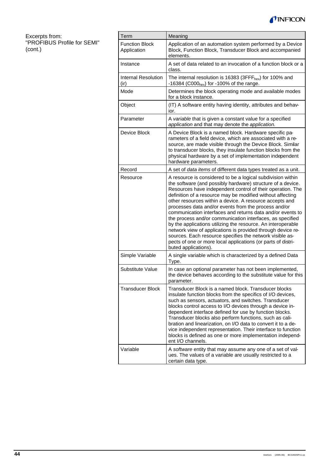

Excerpts from: "PROFIBUS Profile for SEMI" (cont.)

 $\mathbf{r}$ 

| Term                                 | Meaning                                                                                                                                                                                                                                                                                                                                                                                                                                                                                                                                                                                                                                                                                                                                                                                 |
|--------------------------------------|-----------------------------------------------------------------------------------------------------------------------------------------------------------------------------------------------------------------------------------------------------------------------------------------------------------------------------------------------------------------------------------------------------------------------------------------------------------------------------------------------------------------------------------------------------------------------------------------------------------------------------------------------------------------------------------------------------------------------------------------------------------------------------------------|
| <b>Function Block</b><br>Application | Application of an automation system performed by a Device<br>Block, Function Block, Transducer Block and accompanied<br>elements.                                                                                                                                                                                                                                                                                                                                                                                                                                                                                                                                                                                                                                                       |
| Instance                             | A set of data related to an invocation of a function block or a<br>class.                                                                                                                                                                                                                                                                                                                                                                                                                                                                                                                                                                                                                                                                                                               |
| <b>Internal Resolution</b><br>(ir)   | The internal resolution is 16383 (3FFF $_{hex}$ ) for 100% and<br>-16384 (C000 <sub>hex</sub> ) for -100% of the range.                                                                                                                                                                                                                                                                                                                                                                                                                                                                                                                                                                                                                                                                 |
| Mode                                 | Determines the block operating mode and available modes<br>for a block instance.                                                                                                                                                                                                                                                                                                                                                                                                                                                                                                                                                                                                                                                                                                        |
| Object                               | (IT) A software entity having identity, attributes and behav-<br>ior.                                                                                                                                                                                                                                                                                                                                                                                                                                                                                                                                                                                                                                                                                                                   |
| Parameter                            | A variable that is given a constant value for a specified<br>application and that may denote the application.                                                                                                                                                                                                                                                                                                                                                                                                                                                                                                                                                                                                                                                                           |
| Device Block                         | A Device Block is a named block. Hardware specific pa-<br>rameters of a field device, which are associated with a re-<br>source, are made visible through the Device Block. Similar<br>to transducer blocks, they insulate function blocks from the<br>physical hardware by a set of implementation independent<br>hardware parameters.                                                                                                                                                                                                                                                                                                                                                                                                                                                 |
| Record                               | A set of data items of different data types treated as a unit.                                                                                                                                                                                                                                                                                                                                                                                                                                                                                                                                                                                                                                                                                                                          |
| Resource                             | A resource is considered to be a logical subdivision within<br>the software (and possibly hardware) structure of a device.<br>Resources have independent control of their operation. The<br>definition of a resource may be modified without affecting<br>other resources within a device. A resource accepts and<br>processes data and/or events from the process and/or<br>communication interfaces and returns data and/or events to<br>the process and/or communication interfaces, as specified<br>by the applications utilizing the resource. An interoperable<br>network view of applications is provided through device re-<br>sources. Each resource specifies the network visible as-<br>pects of one or more local applications (or parts of distri-<br>buted applications). |
| Simple Variable                      | A single variable which is characterized by a defined Data<br>Type.                                                                                                                                                                                                                                                                                                                                                                                                                                                                                                                                                                                                                                                                                                                     |
| Substitute Value                     | In case an optional parameter has not been implemented,<br>the device behaves according to the substitute value for this<br>parameter.                                                                                                                                                                                                                                                                                                                                                                                                                                                                                                                                                                                                                                                  |
| <b>Transducer Block</b>              | Transducer Block is a named block. Transducer blocks<br>insulate function blocks from the specifics of I/O devices,<br>such as sensors, actuators, and switches. Transducer<br>blocks control access to I/O devices through a device in-<br>dependent interface defined for use by function blocks.<br>Transducer blocks also perform functions, such as cali-<br>bration and linearization, on I/O data to convert it to a de-<br>vice independent representation. Their interface to function<br>blocks is defined as one or more implementation independ-<br>ent I/O channels.                                                                                                                                                                                                       |
| Variable                             | A software entity that may assume any one of a set of val-<br>ues. The values of a variable are usually restricted to a<br>certain data type.                                                                                                                                                                                                                                                                                                                                                                                                                                                                                                                                                                                                                                           |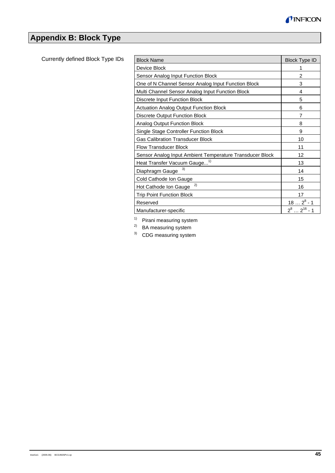

# **Appendix B: Block Type**

Currently defined Block Type IDs

| <b>Block Name</b>                                        | <b>Block Type ID</b> |
|----------------------------------------------------------|----------------------|
| Device Block                                             | 1                    |
| Sensor Analog Input Function Block                       | 2                    |
| One of N Channel Sensor Analog Input Function Block      | 3                    |
| Multi Channel Sensor Analog Input Function Block         | $\overline{4}$       |
| Discrete Input Function Block                            | 5                    |
| <b>Actuation Analog Output Function Block</b>            | 6                    |
| Discrete Output Function Block                           | 7                    |
| Analog Output Function Block                             | 8                    |
| Single Stage Controller Function Block                   | 9                    |
| <b>Gas Calibration Transducer Block</b>                  | 10                   |
| <b>Flow Transducer Block</b>                             | 11                   |
| Sensor Analog Input Ambient Temperature Transducer Block | 12                   |
| Heat Transfer Vacuum Gauge <sup>1)</sup>                 | 13                   |
| 3)<br>Diaphragm Gauge                                    | 14                   |
| Cold Cathode Ion Gauge                                   | 15                   |
| 2)<br>Hot Cathode Ion Gauge                              | 16                   |
| <b>Trip Point Function Block</b>                         | 17                   |
| Reserved                                                 | $182^8 - 1$          |
| Manufacturer-specific                                    | $2^82^{16}$ - 1      |

<sup>1)</sup> Pirani measuring system<br><sup>2)</sup> BA measuring system

<sup>2)</sup> BA measuring system<br><sup>3)</sup> CDG measuring system

CDG measuring system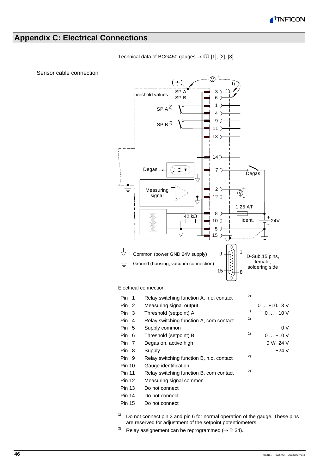

# **Appendix C: Electrical Connections**



Technical data of BCG450 gauges  $\rightarrow \Box$  [1], [2], [3].

Sensor cable connection

 $1)$  Do not connect pin 3 and pin 6 for normal operation of the gauge. These pins are reserved for adjustment of the setpoint potentiometers.

Pin 6 Threshold (setpoint) B  $1$  0 ... +10 V Pin 7 Degas on, active high 0 V/+24 V Pin 8 Supply **+24 V** 

<sup>2)</sup> Relay assignement can be reprogrammed ( $\rightarrow \mathbb{B}$  34).

Pin 9 Relay switching function B, n.o. contact 2)

Pin 11 Relay switching function B, com contact  $2^{2}$ 

Pin 10 Gauge identification

Pin 13 Do not connect Pin 14 Do not connect Pin 15 Do not connect

Pin 12 Measuring signal common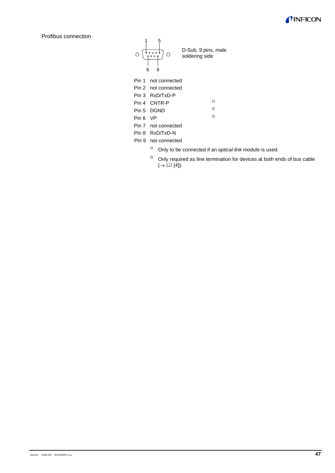

Profibus connection



- 1) Only to be connected if an *optical link* module is used.
- $2)$  Only required as line termination for devices at both ends of bus cable  $(\rightarrow \Box \Box$  [4]).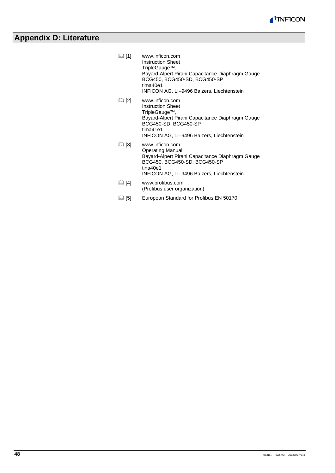

# **Appendix D: Literature**

| LJ [1] | www.inficon.com<br><b>Instruction Sheet</b><br>TripleGauge <sup>™</sup> ,<br>Bayard-Alpert Pirani Capacitance Diaphragm Gauge<br>BCG450, BCG450-SD, BCG450-SP<br>tima40e1<br>INFICON AG, LI-9496 Balzers, Liechtenstein |
|--------|-------------------------------------------------------------------------------------------------------------------------------------------------------------------------------------------------------------------------|
| LJ [2] | www.inficon.com<br><b>Instruction Sheet</b><br>TripleGauge™,<br>Bayard-Alpert Pirani Capacitance Diaphragm Gauge<br>BCG450-SD, BCG450-SP<br>tima41e1<br>INFICON AG, LI-9496 Balzers, Liechtenstein                      |
| LJ [3] | www.inficon.com<br>Operating Manual<br>Bayard-Alpert Pirani Capacitance Diaphragm Gauge<br>BCG450, BCG450-SD, BCG450-SP<br>tina40e1<br>INFICON AG, LI-9496 Balzers, Liechtenstein                                       |
| LJ [4] | www.profibus.com<br>(Profibus user organization)                                                                                                                                                                        |

 [5] European Standard for Profibus EN 50170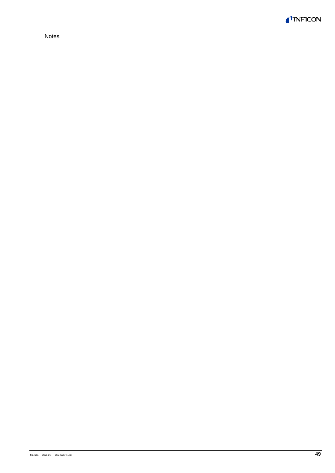

Notes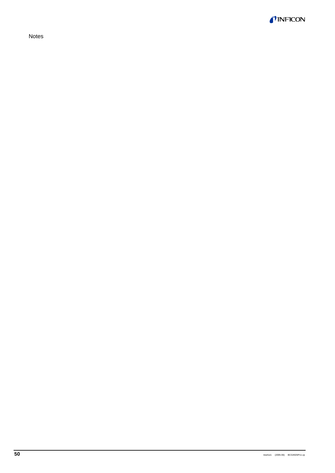*TINFICON* 

Notes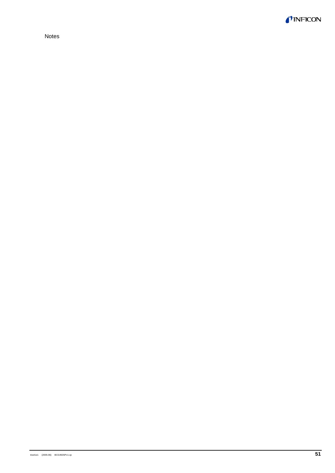

Notes